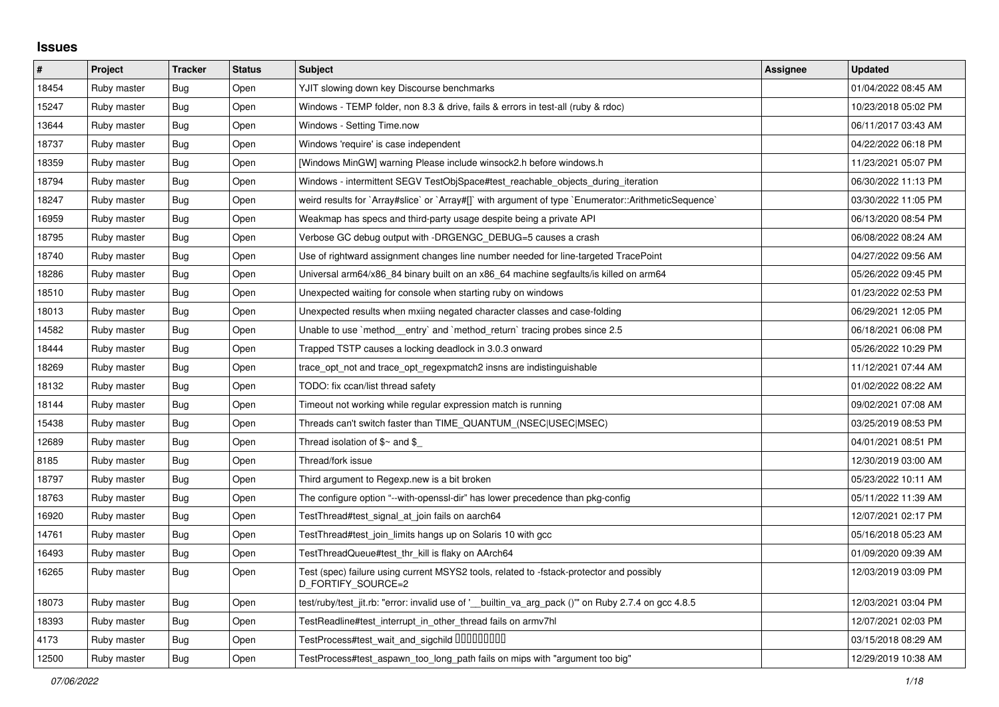## **Issues**

| #     | Project     | <b>Tracker</b> | <b>Status</b> | <b>Subject</b>                                                                                                 | Assignee | <b>Updated</b>      |
|-------|-------------|----------------|---------------|----------------------------------------------------------------------------------------------------------------|----------|---------------------|
| 18454 | Ruby master | Bug            | Open          | YJIT slowing down key Discourse benchmarks                                                                     |          | 01/04/2022 08:45 AM |
| 15247 | Ruby master | Bug            | Open          | Windows - TEMP folder, non 8.3 & drive, fails & errors in test-all (ruby & rdoc)                               |          | 10/23/2018 05:02 PM |
| 13644 | Ruby master | Bug            | Open          | Windows - Setting Time.now                                                                                     |          | 06/11/2017 03:43 AM |
| 18737 | Ruby master | <b>Bug</b>     | Open          | Windows 'require' is case independent                                                                          |          | 04/22/2022 06:18 PM |
| 18359 | Ruby master | <b>Bug</b>     | Open          | [Windows MinGW] warning Please include winsock2.h before windows.h                                             |          | 11/23/2021 05:07 PM |
| 18794 | Ruby master | Bug            | Open          | Windows - intermittent SEGV TestObjSpace#test_reachable_objects_during_iteration                               |          | 06/30/2022 11:13 PM |
| 18247 | Ruby master | Bug            | Open          | weird results for `Array#slice` or `Array#[]` with argument of type `Enumerator::ArithmeticSequence`           |          | 03/30/2022 11:05 PM |
| 16959 | Ruby master | <b>Bug</b>     | Open          | Weakmap has specs and third-party usage despite being a private API                                            |          | 06/13/2020 08:54 PM |
| 18795 | Ruby master | Bug            | Open          | Verbose GC debug output with -DRGENGC_DEBUG=5 causes a crash                                                   |          | 06/08/2022 08:24 AM |
| 18740 | Ruby master | Bug            | Open          | Use of rightward assignment changes line number needed for line-targeted TracePoint                            |          | 04/27/2022 09:56 AM |
| 18286 | Ruby master | Bug            | Open          | Universal arm64/x86_84 binary built on an x86_64 machine segfaults/is killed on arm64                          |          | 05/26/2022 09:45 PM |
| 18510 | Ruby master | <b>Bug</b>     | Open          | Unexpected waiting for console when starting ruby on windows                                                   |          | 01/23/2022 02:53 PM |
| 18013 | Ruby master | Bug            | Open          | Unexpected results when mxiing negated character classes and case-folding                                      |          | 06/29/2021 12:05 PM |
| 14582 | Ruby master | Bug            | Open          | Unable to use `method_entry` and `method_return` tracing probes since 2.5                                      |          | 06/18/2021 06:08 PM |
| 18444 | Ruby master | Bug            | Open          | Trapped TSTP causes a locking deadlock in 3.0.3 onward                                                         |          | 05/26/2022 10:29 PM |
| 18269 | Ruby master | Bug            | Open          | trace_opt_not and trace_opt_regexpmatch2 insns are indistinguishable                                           |          | 11/12/2021 07:44 AM |
| 18132 | Ruby master | <b>Bug</b>     | Open          | TODO: fix ccan/list thread safety                                                                              |          | 01/02/2022 08:22 AM |
| 18144 | Ruby master | Bug            | Open          | Timeout not working while regular expression match is running                                                  |          | 09/02/2021 07:08 AM |
| 15438 | Ruby master | <b>Bug</b>     | Open          | Threads can't switch faster than TIME_QUANTUM_(NSEC USEC MSEC)                                                 |          | 03/25/2019 08:53 PM |
| 12689 | Ruby master | Bug            | Open          | Thread isolation of $\$$ ~ and $\$$                                                                            |          | 04/01/2021 08:51 PM |
| 8185  | Ruby master | <b>Bug</b>     | Open          | Thread/fork issue                                                                                              |          | 12/30/2019 03:00 AM |
| 18797 | Ruby master | Bug            | Open          | Third argument to Regexp.new is a bit broken                                                                   |          | 05/23/2022 10:11 AM |
| 18763 | Ruby master | Bug            | Open          | The configure option "--with-openssl-dir" has lower precedence than pkg-config                                 |          | 05/11/2022 11:39 AM |
| 16920 | Ruby master | <b>Bug</b>     | Open          | TestThread#test_signal_at_join fails on aarch64                                                                |          | 12/07/2021 02:17 PM |
| 14761 | Ruby master | Bug            | Open          | TestThread#test_join_limits hangs up on Solaris 10 with gcc                                                    |          | 05/16/2018 05:23 AM |
| 16493 | Ruby master | Bug            | Open          | TestThreadQueue#test_thr_kill is flaky on AArch64                                                              |          | 01/09/2020 09:39 AM |
| 16265 | Ruby master | <b>Bug</b>     | Open          | Test (spec) failure using current MSYS2 tools, related to -fstack-protector and possibly<br>D_FORTIFY_SOURCE=2 |          | 12/03/2019 03:09 PM |
| 18073 | Ruby master | <b>Bug</b>     | Open          | test/ruby/test jit.rb: "error: invalid use of ' builtin va arg pack ()" on Ruby 2.7.4 on gcc 4.8.5             |          | 12/03/2021 03:04 PM |
| 18393 | Ruby master | Bug            | Open          | TestReadline#test interrupt in other thread fails on armv7hl                                                   |          | 12/07/2021 02:03 PM |
| 4173  | Ruby master | Bug            | Open          | TestProcess#test_wait_and_sigchild DDDDDDDD                                                                    |          | 03/15/2018 08:29 AM |
| 12500 | Ruby master | <b>Bug</b>     | Open          | TestProcess#test aspawn too long path fails on mips with "argument too big"                                    |          | 12/29/2019 10:38 AM |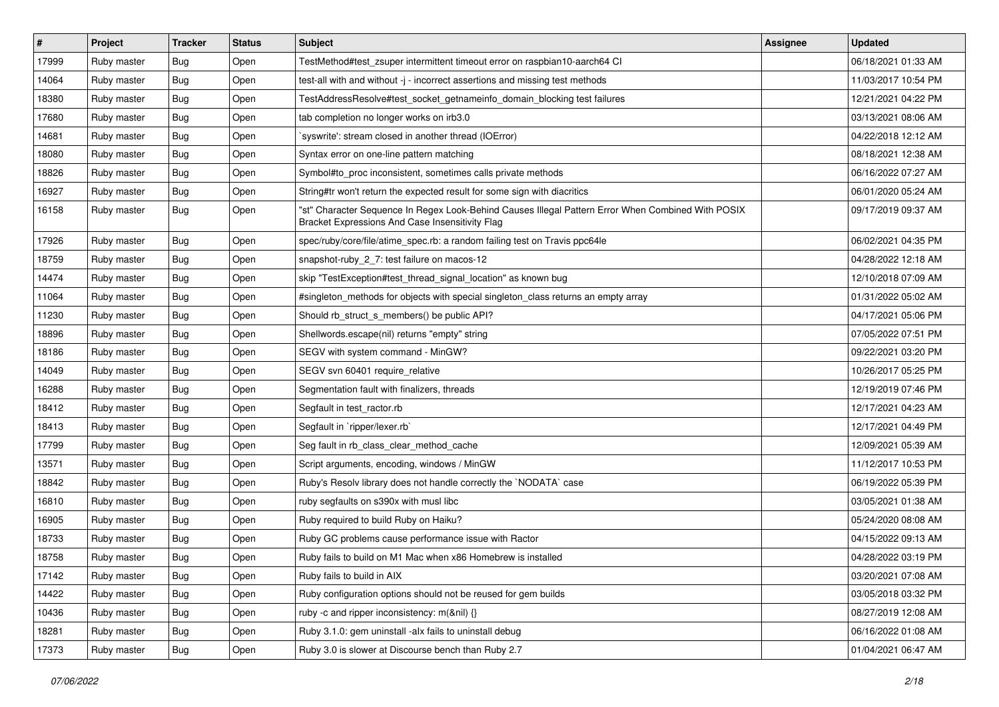| $\vert$ # | Project     | <b>Tracker</b> | <b>Status</b> | Subject                                                                                                                                               | <b>Assignee</b> | <b>Updated</b>      |
|-----------|-------------|----------------|---------------|-------------------------------------------------------------------------------------------------------------------------------------------------------|-----------------|---------------------|
| 17999     | Ruby master | <b>Bug</b>     | Open          | TestMethod#test_zsuper intermittent timeout error on raspbian10-aarch64 Cl                                                                            |                 | 06/18/2021 01:33 AM |
| 14064     | Ruby master | Bug            | Open          | test-all with and without -j - incorrect assertions and missing test methods                                                                          |                 | 11/03/2017 10:54 PM |
| 18380     | Ruby master | Bug            | Open          | TestAddressResolve#test_socket_getnameinfo_domain_blocking test failures                                                                              |                 | 12/21/2021 04:22 PM |
| 17680     | Ruby master | <b>Bug</b>     | Open          | tab completion no longer works on irb3.0                                                                                                              |                 | 03/13/2021 08:06 AM |
| 14681     | Ruby master | Bug            | Open          | syswrite': stream closed in another thread (IOError)                                                                                                  |                 | 04/22/2018 12:12 AM |
| 18080     | Ruby master | Bug            | Open          | Syntax error on one-line pattern matching                                                                                                             |                 | 08/18/2021 12:38 AM |
| 18826     | Ruby master | Bug            | Open          | Symbol#to_proc inconsistent, sometimes calls private methods                                                                                          |                 | 06/16/2022 07:27 AM |
| 16927     | Ruby master | <b>Bug</b>     | Open          | String#tr won't return the expected result for some sign with diacritics                                                                              |                 | 06/01/2020 05:24 AM |
| 16158     | Ruby master | <b>Bug</b>     | Open          | "st" Character Sequence In Regex Look-Behind Causes Illegal Pattern Error When Combined With POSIX<br>Bracket Expressions And Case Insensitivity Flag |                 | 09/17/2019 09:37 AM |
| 17926     | Ruby master | Bug            | Open          | spec/ruby/core/file/atime_spec.rb: a random failing test on Travis ppc64le                                                                            |                 | 06/02/2021 04:35 PM |
| 18759     | Ruby master | <b>Bug</b>     | Open          | snapshot-ruby_2_7: test failure on macos-12                                                                                                           |                 | 04/28/2022 12:18 AM |
| 14474     | Ruby master | <b>Bug</b>     | Open          | skip "TestException#test thread signal location" as known bug                                                                                         |                 | 12/10/2018 07:09 AM |
| 11064     | Ruby master | <b>Bug</b>     | Open          | #singleton_methods for objects with special singleton_class returns an empty array                                                                    |                 | 01/31/2022 05:02 AM |
| 11230     | Ruby master | Bug            | Open          | Should rb_struct_s_members() be public API?                                                                                                           |                 | 04/17/2021 05:06 PM |
| 18896     | Ruby master | <b>Bug</b>     | Open          | Shellwords.escape(nil) returns "empty" string                                                                                                         |                 | 07/05/2022 07:51 PM |
| 18186     | Ruby master | <b>Bug</b>     | Open          | SEGV with system command - MinGW?                                                                                                                     |                 | 09/22/2021 03:20 PM |
| 14049     | Ruby master | Bug            | Open          | SEGV svn 60401 require_relative                                                                                                                       |                 | 10/26/2017 05:25 PM |
| 16288     | Ruby master | Bug            | Open          | Segmentation fault with finalizers, threads                                                                                                           |                 | 12/19/2019 07:46 PM |
| 18412     | Ruby master | Bug            | Open          | Segfault in test_ractor.rb                                                                                                                            |                 | 12/17/2021 04:23 AM |
| 18413     | Ruby master | <b>Bug</b>     | Open          | Segfault in `ripper/lexer.rb`                                                                                                                         |                 | 12/17/2021 04:49 PM |
| 17799     | Ruby master | <b>Bug</b>     | Open          | Seg fault in rb_class_clear_method_cache                                                                                                              |                 | 12/09/2021 05:39 AM |
| 13571     | Ruby master | Bug            | Open          | Script arguments, encoding, windows / MinGW                                                                                                           |                 | 11/12/2017 10:53 PM |
| 18842     | Ruby master | <b>Bug</b>     | Open          | Ruby's Resolv library does not handle correctly the `NODATA` case                                                                                     |                 | 06/19/2022 05:39 PM |
| 16810     | Ruby master | Bug            | Open          | ruby segfaults on s390x with musl libc                                                                                                                |                 | 03/05/2021 01:38 AM |
| 16905     | Ruby master | <b>Bug</b>     | Open          | Ruby required to build Ruby on Haiku?                                                                                                                 |                 | 05/24/2020 08:08 AM |
| 18733     | Ruby master | <b>Bug</b>     | Open          | Ruby GC problems cause performance issue with Ractor                                                                                                  |                 | 04/15/2022 09:13 AM |
| 18758     | Ruby master | Bug            | Open          | Ruby fails to build on M1 Mac when x86 Homebrew is installed                                                                                          |                 | 04/28/2022 03:19 PM |
| 17142     | Ruby master | <b>Bug</b>     | Open          | Ruby fails to build in AIX                                                                                                                            |                 | 03/20/2021 07:08 AM |
| 14422     | Ruby master | <b>Bug</b>     | Open          | Ruby configuration options should not be reused for gem builds                                                                                        |                 | 03/05/2018 03:32 PM |
| 10436     | Ruby master | <b>Bug</b>     | Open          | ruby -c and ripper inconsistency: m(&nil) {}                                                                                                          |                 | 08/27/2019 12:08 AM |
| 18281     | Ruby master | Bug            | Open          | Ruby 3.1.0: gem uninstall -alx fails to uninstall debug                                                                                               |                 | 06/16/2022 01:08 AM |
| 17373     | Ruby master | <b>Bug</b>     | Open          | Ruby 3.0 is slower at Discourse bench than Ruby 2.7                                                                                                   |                 | 01/04/2021 06:47 AM |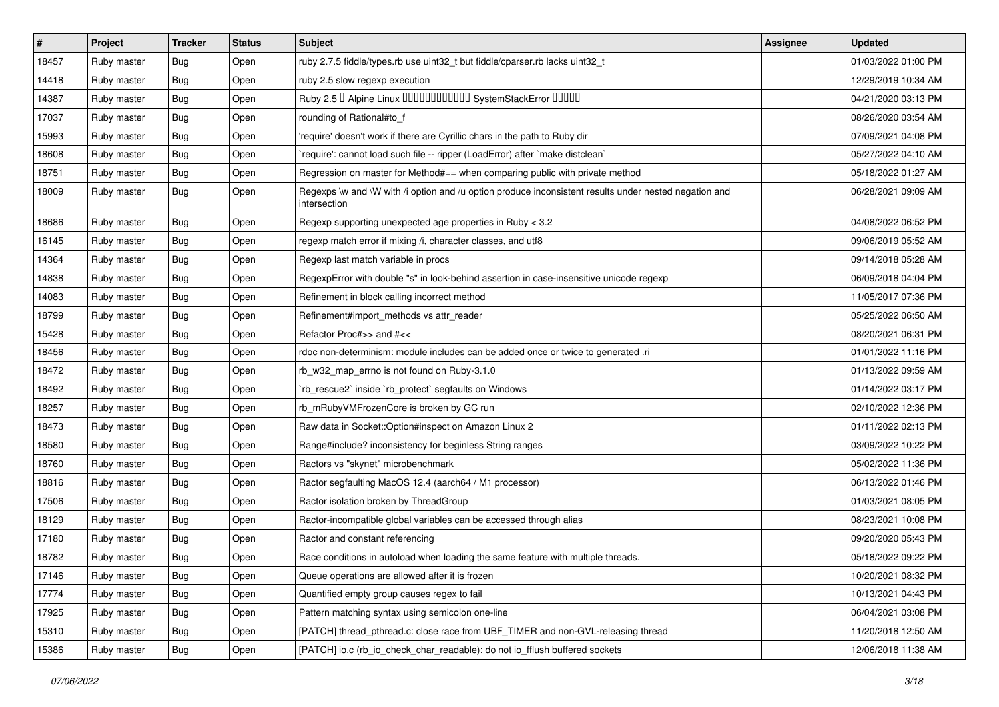| $\pmb{\#}$ | Project     | <b>Tracker</b> | <b>Status</b> | Subject                                                                                                               | <b>Assignee</b> | <b>Updated</b>      |
|------------|-------------|----------------|---------------|-----------------------------------------------------------------------------------------------------------------------|-----------------|---------------------|
| 18457      | Ruby master | Bug            | Open          | ruby 2.7.5 fiddle/types.rb use uint32_t but fiddle/cparser.rb lacks uint32_t                                          |                 | 01/03/2022 01:00 PM |
| 14418      | Ruby master | Bug            | Open          | ruby 2.5 slow regexp execution                                                                                        |                 | 12/29/2019 10:34 AM |
| 14387      | Ruby master | <b>Bug</b>     | Open          | Ruby 2.5 <sup>D</sup> Alpine Linux 000000000000 SystemStackError 00000                                                |                 | 04/21/2020 03:13 PM |
| 17037      | Ruby master | <b>Bug</b>     | Open          | rounding of Rational#to_f                                                                                             |                 | 08/26/2020 03:54 AM |
| 15993      | Ruby master | Bug            | Open          | 'require' doesn't work if there are Cyrillic chars in the path to Ruby dir                                            |                 | 07/09/2021 04:08 PM |
| 18608      | Ruby master | <b>Bug</b>     | Open          | require': cannot load such file -- ripper (LoadError) after `make distclean`                                          |                 | 05/27/2022 04:10 AM |
| 18751      | Ruby master | Bug            | Open          | Regression on master for Method#== when comparing public with private method                                          |                 | 05/18/2022 01:27 AM |
| 18009      | Ruby master | Bug            | Open          | Regexps \w and \W with /i option and /u option produce inconsistent results under nested negation and<br>intersection |                 | 06/28/2021 09:09 AM |
| 18686      | Ruby master | <b>Bug</b>     | Open          | Regexp supporting unexpected age properties in Ruby < 3.2                                                             |                 | 04/08/2022 06:52 PM |
| 16145      | Ruby master | Bug            | Open          | regexp match error if mixing /i, character classes, and utf8                                                          |                 | 09/06/2019 05:52 AM |
| 14364      | Ruby master | <b>Bug</b>     | Open          | Regexp last match variable in procs                                                                                   |                 | 09/14/2018 05:28 AM |
| 14838      | Ruby master | Bug            | Open          | RegexpError with double "s" in look-behind assertion in case-insensitive unicode regexp                               |                 | 06/09/2018 04:04 PM |
| 14083      | Ruby master | Bug            | Open          | Refinement in block calling incorrect method                                                                          |                 | 11/05/2017 07:36 PM |
| 18799      | Ruby master | Bug            | Open          | Refinement#import_methods vs attr_reader                                                                              |                 | 05/25/2022 06:50 AM |
| 15428      | Ruby master | Bug            | Open          | Refactor Proc#>> and #<<                                                                                              |                 | 08/20/2021 06:31 PM |
| 18456      | Ruby master | <b>Bug</b>     | Open          | rdoc non-determinism: module includes can be added once or twice to generated .ri                                     |                 | 01/01/2022 11:16 PM |
| 18472      | Ruby master | Bug            | Open          | rb_w32_map_errno is not found on Ruby-3.1.0                                                                           |                 | 01/13/2022 09:59 AM |
| 18492      | Ruby master | Bug            | Open          | rb_rescue2` inside `rb_protect` segfaults on Windows                                                                  |                 | 01/14/2022 03:17 PM |
| 18257      | Ruby master | Bug            | Open          | rb_mRubyVMFrozenCore is broken by GC run                                                                              |                 | 02/10/2022 12:36 PM |
| 18473      | Ruby master | Bug            | Open          | Raw data in Socket::Option#inspect on Amazon Linux 2                                                                  |                 | 01/11/2022 02:13 PM |
| 18580      | Ruby master | Bug            | Open          | Range#include? inconsistency for beginless String ranges                                                              |                 | 03/09/2022 10:22 PM |
| 18760      | Ruby master | Bug            | Open          | Ractors vs "skynet" microbenchmark                                                                                    |                 | 05/02/2022 11:36 PM |
| 18816      | Ruby master | <b>Bug</b>     | Open          | Ractor segfaulting MacOS 12.4 (aarch64 / M1 processor)                                                                |                 | 06/13/2022 01:46 PM |
| 17506      | Ruby master | Bug            | Open          | Ractor isolation broken by ThreadGroup                                                                                |                 | 01/03/2021 08:05 PM |
| 18129      | Ruby master | Bug            | Open          | Ractor-incompatible global variables can be accessed through alias                                                    |                 | 08/23/2021 10:08 PM |
| 17180      | Ruby master | <b>Bug</b>     | Open          | Ractor and constant referencing                                                                                       |                 | 09/20/2020 05:43 PM |
| 18782      | Ruby master | <b>Bug</b>     | Open          | Race conditions in autoload when loading the same feature with multiple threads.                                      |                 | 05/18/2022 09:22 PM |
| 17146      | Ruby master | Bug            | Open          | Queue operations are allowed after it is frozen                                                                       |                 | 10/20/2021 08:32 PM |
| 17774      | Ruby master | <b>Bug</b>     | Open          | Quantified empty group causes regex to fail                                                                           |                 | 10/13/2021 04:43 PM |
| 17925      | Ruby master | <b>Bug</b>     | Open          | Pattern matching syntax using semicolon one-line                                                                      |                 | 06/04/2021 03:08 PM |
| 15310      | Ruby master | <b>Bug</b>     | Open          | [PATCH] thread_pthread.c: close race from UBF_TIMER and non-GVL-releasing thread                                      |                 | 11/20/2018 12:50 AM |
| 15386      | Ruby master | Bug            | Open          | [PATCH] io.c (rb_io_check_char_readable): do not io_fflush buffered sockets                                           |                 | 12/06/2018 11:38 AM |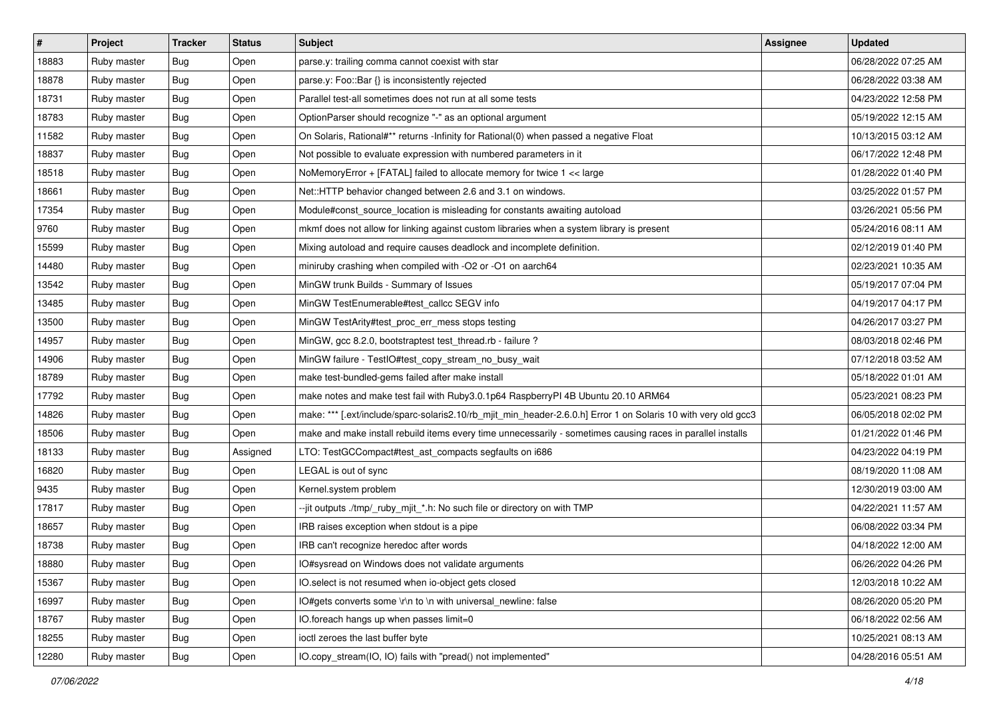| $\pmb{\sharp}$ | Project     | <b>Tracker</b> | <b>Status</b> | <b>Subject</b>                                                                                                 | Assignee | <b>Updated</b>      |
|----------------|-------------|----------------|---------------|----------------------------------------------------------------------------------------------------------------|----------|---------------------|
| 18883          | Ruby master | <b>Bug</b>     | Open          | parse.y: trailing comma cannot coexist with star                                                               |          | 06/28/2022 07:25 AM |
| 18878          | Ruby master | <b>Bug</b>     | Open          | parse.y: Foo::Bar {} is inconsistently rejected                                                                |          | 06/28/2022 03:38 AM |
| 18731          | Ruby master | <b>Bug</b>     | Open          | Parallel test-all sometimes does not run at all some tests                                                     |          | 04/23/2022 12:58 PM |
| 18783          | Ruby master | <b>Bug</b>     | Open          | OptionParser should recognize "-" as an optional argument                                                      |          | 05/19/2022 12:15 AM |
| 11582          | Ruby master | Bug            | Open          | On Solaris, Rational#** returns -Infinity for Rational(0) when passed a negative Float                         |          | 10/13/2015 03:12 AM |
| 18837          | Ruby master | <b>Bug</b>     | Open          | Not possible to evaluate expression with numbered parameters in it                                             |          | 06/17/2022 12:48 PM |
| 18518          | Ruby master | <b>Bug</b>     | Open          | NoMemoryError + [FATAL] failed to allocate memory for twice 1 << large                                         |          | 01/28/2022 01:40 PM |
| 18661          | Ruby master | <b>Bug</b>     | Open          | Net::HTTP behavior changed between 2.6 and 3.1 on windows.                                                     |          | 03/25/2022 01:57 PM |
| 17354          | Ruby master | <b>Bug</b>     | Open          | Module#const_source_location is misleading for constants awaiting autoload                                     |          | 03/26/2021 05:56 PM |
| 9760           | Ruby master | Bug            | Open          | mkmf does not allow for linking against custom libraries when a system library is present                      |          | 05/24/2016 08:11 AM |
| 15599          | Ruby master | <b>Bug</b>     | Open          | Mixing autoload and require causes deadlock and incomplete definition.                                         |          | 02/12/2019 01:40 PM |
| 14480          | Ruby master | <b>Bug</b>     | Open          | miniruby crashing when compiled with -O2 or -O1 on aarch64                                                     |          | 02/23/2021 10:35 AM |
| 13542          | Ruby master | <b>Bug</b>     | Open          | MinGW trunk Builds - Summary of Issues                                                                         |          | 05/19/2017 07:04 PM |
| 13485          | Ruby master | Bug            | Open          | MinGW TestEnumerable#test_callcc SEGV info                                                                     |          | 04/19/2017 04:17 PM |
| 13500          | Ruby master | Bug            | Open          | MinGW TestArity#test_proc_err_mess stops testing                                                               |          | 04/26/2017 03:27 PM |
| 14957          | Ruby master | <b>Bug</b>     | Open          | MinGW, gcc 8.2.0, bootstraptest test_thread.rb - failure ?                                                     |          | 08/03/2018 02:46 PM |
| 14906          | Ruby master | Bug            | Open          | MinGW failure - TestlO#test_copy_stream_no_busy_wait                                                           |          | 07/12/2018 03:52 AM |
| 18789          | Ruby master | <b>Bug</b>     | Open          | make test-bundled-gems failed after make install                                                               |          | 05/18/2022 01:01 AM |
| 17792          | Ruby master | <b>Bug</b>     | Open          | make notes and make test fail with Ruby3.0.1p64 RaspberryPI 4B Ubuntu 20.10 ARM64                              |          | 05/23/2021 08:23 PM |
| 14826          | Ruby master | <b>Bug</b>     | Open          | make: *** [.ext/include/sparc-solaris2.10/rb_mjit_min_header-2.6.0.h] Error 1 on Solaris 10 with very old gcc3 |          | 06/05/2018 02:02 PM |
| 18506          | Ruby master | <b>Bug</b>     | Open          | make and make install rebuild items every time unnecessarily - sometimes causing races in parallel installs    |          | 01/21/2022 01:46 PM |
| 18133          | Ruby master | <b>Bug</b>     | Assigned      | LTO: TestGCCompact#test_ast_compacts segfaults on i686                                                         |          | 04/23/2022 04:19 PM |
| 16820          | Ruby master | <b>Bug</b>     | Open          | LEGAL is out of sync                                                                                           |          | 08/19/2020 11:08 AM |
| 9435           | Ruby master | <b>Bug</b>     | Open          | Kernel.system problem                                                                                          |          | 12/30/2019 03:00 AM |
| 17817          | Ruby master | <b>Bug</b>     | Open          | --jit outputs ./tmp/_ruby_mjit_*.h: No such file or directory on with TMP                                      |          | 04/22/2021 11:57 AM |
| 18657          | Ruby master | <b>Bug</b>     | Open          | IRB raises exception when stdout is a pipe                                                                     |          | 06/08/2022 03:34 PM |
| 18738          | Ruby master | <b>Bug</b>     | Open          | IRB can't recognize heredoc after words                                                                        |          | 04/18/2022 12:00 AM |
| 18880          | Ruby master | Bug            | Open          | IO#sysread on Windows does not validate arguments                                                              |          | 06/26/2022 04:26 PM |
| 15367          | Ruby master | <b>Bug</b>     | Open          | IO.select is not resumed when io-object gets closed                                                            |          | 12/03/2018 10:22 AM |
| 16997          | Ruby master | Bug            | Open          | IO#gets converts some \r\n to \n with universal_newline: false                                                 |          | 08/26/2020 05:20 PM |
| 18767          | Ruby master | <b>Bug</b>     | Open          | IO.foreach hangs up when passes limit=0                                                                        |          | 06/18/2022 02:56 AM |
| 18255          | Ruby master | <b>Bug</b>     | Open          | ioctl zeroes the last buffer byte                                                                              |          | 10/25/2021 08:13 AM |
| 12280          | Ruby master | Bug            | Open          | IO.copy_stream(IO, IO) fails with "pread() not implemented"                                                    |          | 04/28/2016 05:51 AM |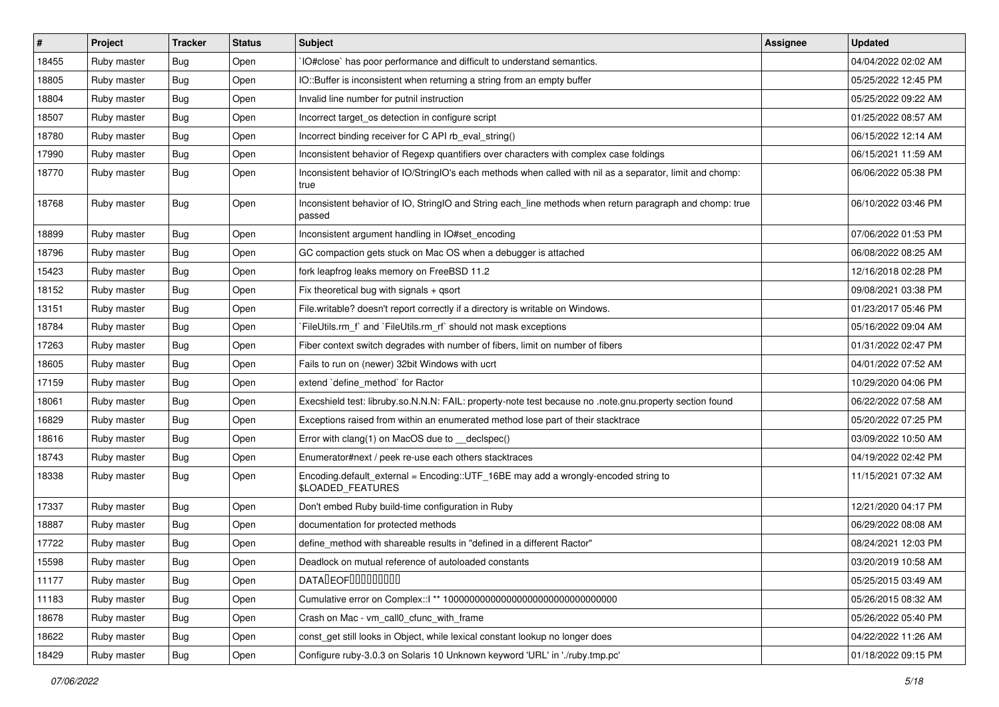| $\sharp$ | Project     | <b>Tracker</b> | <b>Status</b> | Subject                                                                                                            | <b>Assignee</b> | <b>Updated</b>      |
|----------|-------------|----------------|---------------|--------------------------------------------------------------------------------------------------------------------|-----------------|---------------------|
| 18455    | Ruby master | Bug            | Open          | IO#close` has poor performance and difficult to understand semantics.                                              |                 | 04/04/2022 02:02 AM |
| 18805    | Ruby master | <b>Bug</b>     | Open          | IO::Buffer is inconsistent when returning a string from an empty buffer                                            |                 | 05/25/2022 12:45 PM |
| 18804    | Ruby master | <b>Bug</b>     | Open          | Invalid line number for putnil instruction                                                                         |                 | 05/25/2022 09:22 AM |
| 18507    | Ruby master | Bug            | Open          | Incorrect target_os detection in configure script                                                                  |                 | 01/25/2022 08:57 AM |
| 18780    | Ruby master | Bug            | Open          | Incorrect binding receiver for C API rb_eval_string()                                                              |                 | 06/15/2022 12:14 AM |
| 17990    | Ruby master | Bug            | Open          | Inconsistent behavior of Regexp quantifiers over characters with complex case foldings                             |                 | 06/15/2021 11:59 AM |
| 18770    | Ruby master | <b>Bug</b>     | Open          | Inconsistent behavior of IO/StringIO's each methods when called with nil as a separator, limit and chomp:<br>true  |                 | 06/06/2022 05:38 PM |
| 18768    | Ruby master | <b>Bug</b>     | Open          | Inconsistent behavior of IO, StringIO and String each_line methods when return paragraph and chomp: true<br>passed |                 | 06/10/2022 03:46 PM |
| 18899    | Ruby master | <b>Bug</b>     | Open          | Inconsistent argument handling in IO#set encoding                                                                  |                 | 07/06/2022 01:53 PM |
| 18796    | Ruby master | Bug            | Open          | GC compaction gets stuck on Mac OS when a debugger is attached                                                     |                 | 06/08/2022 08:25 AM |
| 15423    | Ruby master | <b>Bug</b>     | Open          | fork leapfrog leaks memory on FreeBSD 11.2                                                                         |                 | 12/16/2018 02:28 PM |
| 18152    | Ruby master | <b>Bug</b>     | Open          | Fix theoretical bug with signals $+$ qsort                                                                         |                 | 09/08/2021 03:38 PM |
| 13151    | Ruby master | <b>Bug</b>     | Open          | File.writable? doesn't report correctly if a directory is writable on Windows.                                     |                 | 01/23/2017 05:46 PM |
| 18784    | Ruby master | <b>Bug</b>     | Open          | FileUtils.rm_f` and `FileUtils.rm_rf` should not mask exceptions                                                   |                 | 05/16/2022 09:04 AM |
| 17263    | Ruby master | <b>Bug</b>     | Open          | Fiber context switch degrades with number of fibers, limit on number of fibers                                     |                 | 01/31/2022 02:47 PM |
| 18605    | Ruby master | <b>Bug</b>     | Open          | Fails to run on (newer) 32bit Windows with ucrt                                                                    |                 | 04/01/2022 07:52 AM |
| 17159    | Ruby master | <b>Bug</b>     | Open          | extend `define method` for Ractor                                                                                  |                 | 10/29/2020 04:06 PM |
| 18061    | Ruby master | <b>Bug</b>     | Open          | Execshield test: libruby.so.N.N.N: FAIL: property-note test because no .note.gnu.property section found            |                 | 06/22/2022 07:58 AM |
| 16829    | Ruby master | <b>Bug</b>     | Open          | Exceptions raised from within an enumerated method lose part of their stacktrace                                   |                 | 05/20/2022 07:25 PM |
| 18616    | Ruby master | <b>Bug</b>     | Open          | Error with clang(1) on MacOS due to __declspec()                                                                   |                 | 03/09/2022 10:50 AM |
| 18743    | Ruby master | Bug            | Open          | Enumerator#next / peek re-use each others stacktraces                                                              |                 | 04/19/2022 02:42 PM |
| 18338    | Ruby master | <b>Bug</b>     | Open          | Encoding.default_external = Encoding::UTF_16BE may add a wrongly-encoded string to<br>\$LOADED_FEATURES            |                 | 11/15/2021 07:32 AM |
| 17337    | Ruby master | <b>Bug</b>     | Open          | Don't embed Ruby build-time configuration in Ruby                                                                  |                 | 12/21/2020 04:17 PM |
| 18887    | Ruby master | <b>Bug</b>     | Open          | documentation for protected methods                                                                                |                 | 06/29/2022 08:08 AM |
| 17722    | Ruby master | <b>Bug</b>     | Open          | define_method with shareable results in "defined in a different Ractor"                                            |                 | 08/24/2021 12:03 PM |
| 15598    | Ruby master | Bug            | Open          | Deadlock on mutual reference of autoloaded constants                                                               |                 | 03/20/2019 10:58 AM |
| 11177    | Ruby master | Bug            | Open          | DATALEOFILLLLLLLLLL                                                                                                |                 | 05/25/2015 03:49 AM |
| 11183    | Ruby master | <b>Bug</b>     | Open          |                                                                                                                    |                 | 05/26/2015 08:32 AM |
| 18678    | Ruby master | <b>Bug</b>     | Open          | Crash on Mac - vm_call0_cfunc_with_frame                                                                           |                 | 05/26/2022 05:40 PM |
| 18622    | Ruby master | <b>Bug</b>     | Open          | const get still looks in Object, while lexical constant lookup no longer does                                      |                 | 04/22/2022 11:26 AM |
| 18429    | Ruby master | Bug            | Open          | Configure ruby-3.0.3 on Solaris 10 Unknown keyword 'URL' in './ruby.tmp.pc'                                        |                 | 01/18/2022 09:15 PM |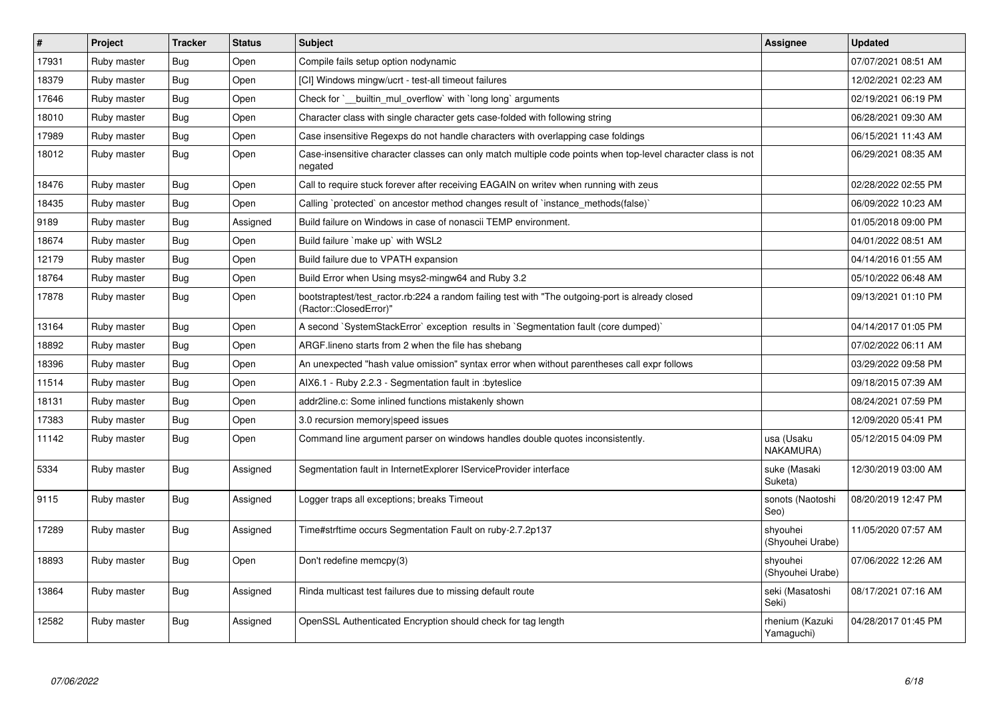| $\sharp$ | Project     | <b>Tracker</b> | <b>Status</b> | <b>Subject</b>                                                                                                             | Assignee                      | <b>Updated</b>      |
|----------|-------------|----------------|---------------|----------------------------------------------------------------------------------------------------------------------------|-------------------------------|---------------------|
| 17931    | Ruby master | Bug            | Open          | Compile fails setup option nodynamic                                                                                       |                               | 07/07/2021 08:51 AM |
| 18379    | Ruby master | <b>Bug</b>     | Open          | [CI] Windows mingw/ucrt - test-all timeout failures                                                                        |                               | 12/02/2021 02:23 AM |
| 17646    | Ruby master | Bug            | Open          | Check for `_builtin_mul_overflow` with `long long` arguments                                                               |                               | 02/19/2021 06:19 PM |
| 18010    | Ruby master | <b>Bug</b>     | Open          | Character class with single character gets case-folded with following string                                               |                               | 06/28/2021 09:30 AM |
| 17989    | Ruby master | <b>Bug</b>     | Open          | Case insensitive Regexps do not handle characters with overlapping case foldings                                           |                               | 06/15/2021 11:43 AM |
| 18012    | Ruby master | Bug            | Open          | Case-insensitive character classes can only match multiple code points when top-level character class is not<br>negated    |                               | 06/29/2021 08:35 AM |
| 18476    | Ruby master | <b>Bug</b>     | Open          | Call to require stuck forever after receiving EAGAIN on writev when running with zeus                                      |                               | 02/28/2022 02:55 PM |
| 18435    | Ruby master | Bug            | Open          | Calling `protected` on ancestor method changes result of `instance_methods(false)`                                         |                               | 06/09/2022 10:23 AM |
| 9189     | Ruby master | <b>Bug</b>     | Assigned      | Build failure on Windows in case of nonascii TEMP environment.                                                             |                               | 01/05/2018 09:00 PM |
| 18674    | Ruby master | <b>Bug</b>     | Open          | Build failure `make up` with WSL2                                                                                          |                               | 04/01/2022 08:51 AM |
| 12179    | Ruby master | Bug            | Open          | Build failure due to VPATH expansion                                                                                       |                               | 04/14/2016 01:55 AM |
| 18764    | Ruby master | Bug            | Open          | Build Error when Using msys2-mingw64 and Ruby 3.2                                                                          |                               | 05/10/2022 06:48 AM |
| 17878    | Ruby master | <b>Bug</b>     | Open          | bootstraptest/test_ractor.rb:224 a random failing test with "The outgoing-port is already closed<br>(Ractor::ClosedError)" |                               | 09/13/2021 01:10 PM |
| 13164    | Ruby master | Bug            | Open          | A second `SystemStackError` exception results in `Segmentation fault (core dumped)`                                        |                               | 04/14/2017 01:05 PM |
| 18892    | Ruby master | <b>Bug</b>     | Open          | ARGF lineno starts from 2 when the file has shebang                                                                        |                               | 07/02/2022 06:11 AM |
| 18396    | Ruby master | <b>Bug</b>     | Open          | An unexpected "hash value omission" syntax error when without parentheses call expr follows                                |                               | 03/29/2022 09:58 PM |
| 11514    | Ruby master | Bug            | Open          | AIX6.1 - Ruby 2.2.3 - Segmentation fault in : byteslice                                                                    |                               | 09/18/2015 07:39 AM |
| 18131    | Ruby master | <b>Bug</b>     | Open          | addr2line.c: Some inlined functions mistakenly shown                                                                       |                               | 08/24/2021 07:59 PM |
| 17383    | Ruby master | <b>Bug</b>     | Open          | 3.0 recursion memory speed issues                                                                                          |                               | 12/09/2020 05:41 PM |
| 11142    | Ruby master | Bug            | Open          | Command line argument parser on windows handles double quotes inconsistently.                                              | usa (Usaku<br>NAKAMURA)       | 05/12/2015 04:09 PM |
| 5334     | Ruby master | <b>Bug</b>     | Assigned      | Segmentation fault in Internet Explorer IService Provider interface                                                        | suke (Masaki<br>Suketa)       | 12/30/2019 03:00 AM |
| 9115     | Ruby master | <b>Bug</b>     | Assigned      | Logger traps all exceptions; breaks Timeout                                                                                | sonots (Naotoshi<br>Seo)      | 08/20/2019 12:47 PM |
| 17289    | Ruby master | Bug            | Assigned      | Time#strftime occurs Segmentation Fault on ruby-2.7.2p137                                                                  | shyouhei<br>(Shyouhei Urabe)  | 11/05/2020 07:57 AM |
| 18893    | Ruby master | Bug            | Open          | Don't redefine memcpy(3)                                                                                                   | shyouhei<br>(Shyouhei Urabe)  | 07/06/2022 12:26 AM |
| 13864    | Ruby master | Bug            | Assigned      | Rinda multicast test failures due to missing default route                                                                 | seki (Masatoshi<br>Seki)      | 08/17/2021 07:16 AM |
| 12582    | Ruby master | <b>Bug</b>     | Assigned      | OpenSSL Authenticated Encryption should check for tag length                                                               | rhenium (Kazuki<br>Yamaguchi) | 04/28/2017 01:45 PM |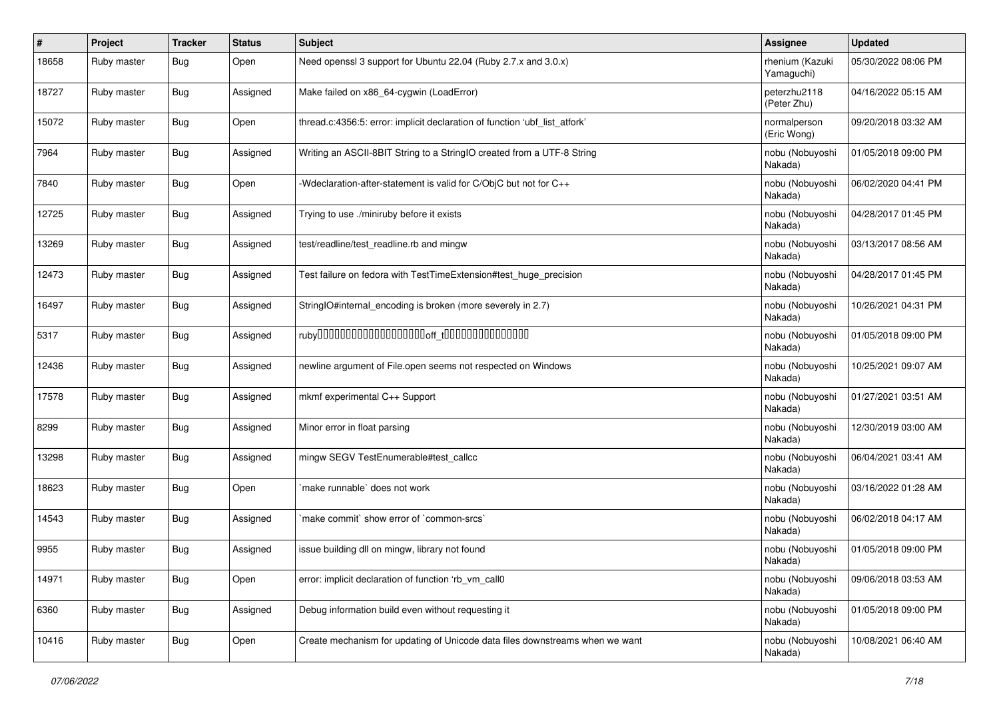| #     | Project     | <b>Tracker</b> | <b>Status</b> | Subject                                                                      | <b>Assignee</b>               | <b>Updated</b>      |
|-------|-------------|----------------|---------------|------------------------------------------------------------------------------|-------------------------------|---------------------|
| 18658 | Ruby master | <b>Bug</b>     | Open          | Need openssl 3 support for Ubuntu 22.04 (Ruby 2.7.x and 3.0.x)               | rhenium (Kazuki<br>Yamaguchi) | 05/30/2022 08:06 PM |
| 18727 | Ruby master | <b>Bug</b>     | Assigned      | Make failed on x86_64-cygwin (LoadError)                                     | peterzhu2118<br>(Peter Zhu)   | 04/16/2022 05:15 AM |
| 15072 | Ruby master | Bug            | Open          | thread.c:4356:5: error: implicit declaration of function 'ubf_list_atfork'   | normalperson<br>(Eric Wong)   | 09/20/2018 03:32 AM |
| 7964  | Ruby master | <b>Bug</b>     | Assigned      | Writing an ASCII-8BIT String to a StringIO created from a UTF-8 String       | nobu (Nobuyoshi<br>Nakada)    | 01/05/2018 09:00 PM |
| 7840  | Ruby master | Bug            | Open          | -Wdeclaration-after-statement is valid for C/ObjC but not for C++            | nobu (Nobuyoshi<br>Nakada)    | 06/02/2020 04:41 PM |
| 12725 | Ruby master | Bug            | Assigned      | Trying to use ./miniruby before it exists                                    | nobu (Nobuyoshi<br>Nakada)    | 04/28/2017 01:45 PM |
| 13269 | Ruby master | <b>Bug</b>     | Assigned      | test/readline/test_readline.rb and mingw                                     | nobu (Nobuyoshi<br>Nakada)    | 03/13/2017 08:56 AM |
| 12473 | Ruby master | <b>Bug</b>     | Assigned      | Test failure on fedora with TestTimeExtension#test_huge_precision            | nobu (Nobuyoshi<br>Nakada)    | 04/28/2017 01:45 PM |
| 16497 | Ruby master | Bug            | Assigned      | StringIO#internal_encoding is broken (more severely in 2.7)                  | nobu (Nobuyoshi<br>Nakada)    | 10/26/2021 04:31 PM |
| 5317  | Ruby master | Bug            | Assigned      |                                                                              | nobu (Nobuyoshi<br>Nakada)    | 01/05/2018 09:00 PM |
| 12436 | Ruby master | Bug            | Assigned      | newline argument of File.open seems not respected on Windows                 | nobu (Nobuyoshi<br>Nakada)    | 10/25/2021 09:07 AM |
| 17578 | Ruby master | Bug            | Assigned      | mkmf experimental C++ Support                                                | nobu (Nobuyoshi<br>Nakada)    | 01/27/2021 03:51 AM |
| 8299  | Ruby master | <b>Bug</b>     | Assigned      | Minor error in float parsing                                                 | nobu (Nobuyoshi<br>Nakada)    | 12/30/2019 03:00 AM |
| 13298 | Ruby master | Bug            | Assigned      | mingw SEGV TestEnumerable#test_callcc                                        | nobu (Nobuyoshi<br>Nakada)    | 06/04/2021 03:41 AM |
| 18623 | Ruby master | <b>Bug</b>     | Open          | make runnable' does not work                                                 | nobu (Nobuyoshi<br>Nakada)    | 03/16/2022 01:28 AM |
| 14543 | Ruby master | Bug            | Assigned      | make commit` show error of `common-srcs`                                     | nobu (Nobuyoshi<br>Nakada)    | 06/02/2018 04:17 AM |
| 9955  | Ruby master | <b>Bug</b>     | Assigned      | issue building dll on mingw, library not found                               | nobu (Nobuyoshi<br>Nakada)    | 01/05/2018 09:00 PM |
| 14971 | Ruby master | Bug            | Open          | error: implicit declaration of function 'rb vm call0                         | nobu (Nobuyoshi<br>Nakada)    | 09/06/2018 03:53 AM |
| 6360  | Ruby master | Bug            | Assigned      | Debug information build even without requesting it                           | nobu (Nobuyoshi<br>Nakada)    | 01/05/2018 09:00 PM |
| 10416 | Ruby master | <b>Bug</b>     | Open          | Create mechanism for updating of Unicode data files downstreams when we want | nobu (Nobuyoshi<br>Nakada)    | 10/08/2021 06:40 AM |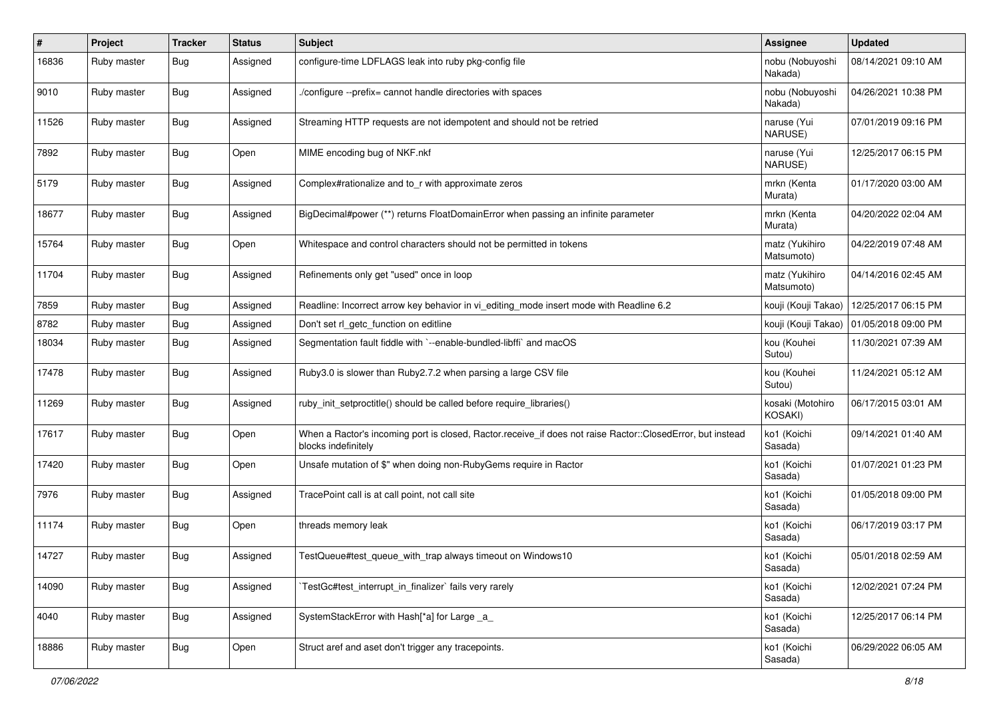| #     | Project     | <b>Tracker</b> | <b>Status</b> | Subject                                                                                                                           | Assignee                     | <b>Updated</b>      |
|-------|-------------|----------------|---------------|-----------------------------------------------------------------------------------------------------------------------------------|------------------------------|---------------------|
| 16836 | Ruby master | <b>Bug</b>     | Assigned      | configure-time LDFLAGS leak into ruby pkg-config file                                                                             | nobu (Nobuyoshi<br>Nakada)   | 08/14/2021 09:10 AM |
| 9010  | Ruby master | <b>Bug</b>     | Assigned      | /configure --prefix= cannot handle directories with spaces                                                                        | nobu (Nobuyoshi<br>Nakada)   | 04/26/2021 10:38 PM |
| 11526 | Ruby master | <b>Bug</b>     | Assigned      | Streaming HTTP requests are not idempotent and should not be retried                                                              | naruse (Yui<br>NARUSE)       | 07/01/2019 09:16 PM |
| 7892  | Ruby master | Bug            | Open          | MIME encoding bug of NKF.nkf                                                                                                      | naruse (Yui<br>NARUSE)       | 12/25/2017 06:15 PM |
| 5179  | Ruby master | Bug            | Assigned      | Complex#rationalize and to_r with approximate zeros                                                                               | mrkn (Kenta<br>Murata)       | 01/17/2020 03:00 AM |
| 18677 | Ruby master | <b>Bug</b>     | Assigned      | BigDecimal#power (**) returns FloatDomainError when passing an infinite parameter                                                 | mrkn (Kenta<br>Murata)       | 04/20/2022 02:04 AM |
| 15764 | Ruby master | <b>Bug</b>     | Open          | Whitespace and control characters should not be permitted in tokens                                                               | matz (Yukihiro<br>Matsumoto) | 04/22/2019 07:48 AM |
| 11704 | Ruby master | Bug            | Assigned      | Refinements only get "used" once in loop                                                                                          | matz (Yukihiro<br>Matsumoto) | 04/14/2016 02:45 AM |
| 7859  | Ruby master | <b>Bug</b>     | Assigned      | Readline: Incorrect arrow key behavior in vi_editing_mode insert mode with Readline 6.2                                           | kouji (Kouji Takao)          | 12/25/2017 06:15 PM |
| 8782  | Ruby master | <b>Bug</b>     | Assigned      | Don't set rl_getc_function on editline                                                                                            | kouji (Kouji Takao)          | 01/05/2018 09:00 PM |
| 18034 | Ruby master | Bug            | Assigned      | Segmentation fault fiddle with `--enable-bundled-libffi` and macOS                                                                | kou (Kouhei<br>Sutou)        | 11/30/2021 07:39 AM |
| 17478 | Ruby master | Bug            | Assigned      | Ruby3.0 is slower than Ruby2.7.2 when parsing a large CSV file                                                                    | kou (Kouhei<br>Sutou)        | 11/24/2021 05:12 AM |
| 11269 | Ruby master | Bug            | Assigned      | ruby_init_setproctitle() should be called before require_libraries()                                                              | kosaki (Motohiro<br>KOSAKI)  | 06/17/2015 03:01 AM |
| 17617 | Ruby master | Bug            | Open          | When a Ractor's incoming port is closed, Ractor.receive_if does not raise Ractor::ClosedError, but instead<br>blocks indefinitely | ko1 (Koichi<br>Sasada)       | 09/14/2021 01:40 AM |
| 17420 | Ruby master | Bug            | Open          | Unsafe mutation of \$" when doing non-RubyGems require in Ractor                                                                  | ko1 (Koichi<br>Sasada)       | 01/07/2021 01:23 PM |
| 7976  | Ruby master | Bug            | Assigned      | TracePoint call is at call point, not call site                                                                                   | ko1 (Koichi<br>Sasada)       | 01/05/2018 09:00 PM |
| 11174 | Ruby master | Bug            | Open          | threads memory leak                                                                                                               | ko1 (Koichi<br>Sasada)       | 06/17/2019 03:17 PM |
| 14727 | Ruby master | <b>Bug</b>     | Assigned      | TestQueue#test_queue_with_trap always timeout on Windows10                                                                        | ko1 (Koichi<br>Sasada)       | 05/01/2018 02:59 AM |
| 14090 | Ruby master | <b>Bug</b>     | Assigned      | TestGc#test interrupt in finalizer` fails very rarely                                                                             | ko1 (Koichi<br>Sasada)       | 12/02/2021 07:24 PM |
| 4040  | Ruby master | Bug            | Assigned      | SystemStackError with Hash[*a] for Large _a_                                                                                      | ko1 (Koichi<br>Sasada)       | 12/25/2017 06:14 PM |
| 18886 | Ruby master | <b>Bug</b>     | Open          | Struct aref and aset don't trigger any tracepoints.                                                                               | ko1 (Koichi<br>Sasada)       | 06/29/2022 06:05 AM |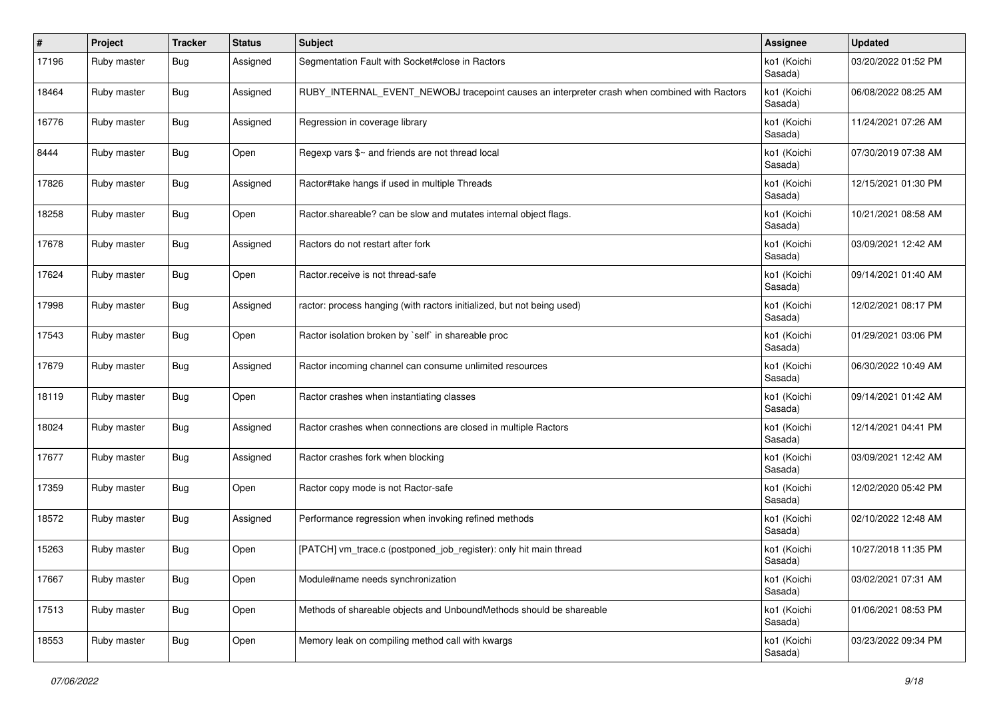| #     | Project     | <b>Tracker</b> | <b>Status</b> | Subject                                                                                      | <b>Assignee</b>        | <b>Updated</b>      |
|-------|-------------|----------------|---------------|----------------------------------------------------------------------------------------------|------------------------|---------------------|
| 17196 | Ruby master | <b>Bug</b>     | Assigned      | Segmentation Fault with Socket#close in Ractors                                              | ko1 (Koichi<br>Sasada) | 03/20/2022 01:52 PM |
| 18464 | Ruby master | Bug            | Assigned      | RUBY_INTERNAL_EVENT_NEWOBJ tracepoint causes an interpreter crash when combined with Ractors | ko1 (Koichi<br>Sasada) | 06/08/2022 08:25 AM |
| 16776 | Ruby master | Bug            | Assigned      | Regression in coverage library                                                               | ko1 (Koichi<br>Sasada) | 11/24/2021 07:26 AM |
| 8444  | Ruby master | <b>Bug</b>     | Open          | Regexp vars \$~ and friends are not thread local                                             | ko1 (Koichi<br>Sasada) | 07/30/2019 07:38 AM |
| 17826 | Ruby master | Bug            | Assigned      | Ractor#take hangs if used in multiple Threads                                                | ko1 (Koichi<br>Sasada) | 12/15/2021 01:30 PM |
| 18258 | Ruby master | Bug            | Open          | Ractor.shareable? can be slow and mutates internal object flags.                             | ko1 (Koichi<br>Sasada) | 10/21/2021 08:58 AM |
| 17678 | Ruby master | Bug            | Assigned      | Ractors do not restart after fork                                                            | ko1 (Koichi<br>Sasada) | 03/09/2021 12:42 AM |
| 17624 | Ruby master | <b>Bug</b>     | Open          | Ractor.receive is not thread-safe                                                            | ko1 (Koichi<br>Sasada) | 09/14/2021 01:40 AM |
| 17998 | Ruby master | Bug            | Assigned      | ractor: process hanging (with ractors initialized, but not being used)                       | ko1 (Koichi<br>Sasada) | 12/02/2021 08:17 PM |
| 17543 | Ruby master | Bug            | Open          | Ractor isolation broken by `self` in shareable proc                                          | ko1 (Koichi<br>Sasada) | 01/29/2021 03:06 PM |
| 17679 | Ruby master | Bug            | Assigned      | Ractor incoming channel can consume unlimited resources                                      | ko1 (Koichi<br>Sasada) | 06/30/2022 10:49 AM |
| 18119 | Ruby master | Bug            | Open          | Ractor crashes when instantiating classes                                                    | ko1 (Koichi<br>Sasada) | 09/14/2021 01:42 AM |
| 18024 | Ruby master | Bug            | Assigned      | Ractor crashes when connections are closed in multiple Ractors                               | ko1 (Koichi<br>Sasada) | 12/14/2021 04:41 PM |
| 17677 | Ruby master | Bug            | Assigned      | Ractor crashes fork when blocking                                                            | ko1 (Koichi<br>Sasada) | 03/09/2021 12:42 AM |
| 17359 | Ruby master | <b>Bug</b>     | Open          | Ractor copy mode is not Ractor-safe                                                          | ko1 (Koichi<br>Sasada) | 12/02/2020 05:42 PM |
| 18572 | Ruby master | Bug            | Assigned      | Performance regression when invoking refined methods                                         | ko1 (Koichi<br>Sasada) | 02/10/2022 12:48 AM |
| 15263 | Ruby master | Bug            | Open          | [PATCH] vm_trace.c (postponed_job_register): only hit main thread                            | ko1 (Koichi<br>Sasada) | 10/27/2018 11:35 PM |
| 17667 | Ruby master | <b>Bug</b>     | Open          | Module#name needs synchronization                                                            | ko1 (Koichi<br>Sasada) | 03/02/2021 07:31 AM |
| 17513 | Ruby master | <b>Bug</b>     | Open          | Methods of shareable objects and UnboundMethods should be shareable                          | ko1 (Koichi<br>Sasada) | 01/06/2021 08:53 PM |
| 18553 | Ruby master | <b>Bug</b>     | Open          | Memory leak on compiling method call with kwargs                                             | ko1 (Koichi<br>Sasada) | 03/23/2022 09:34 PM |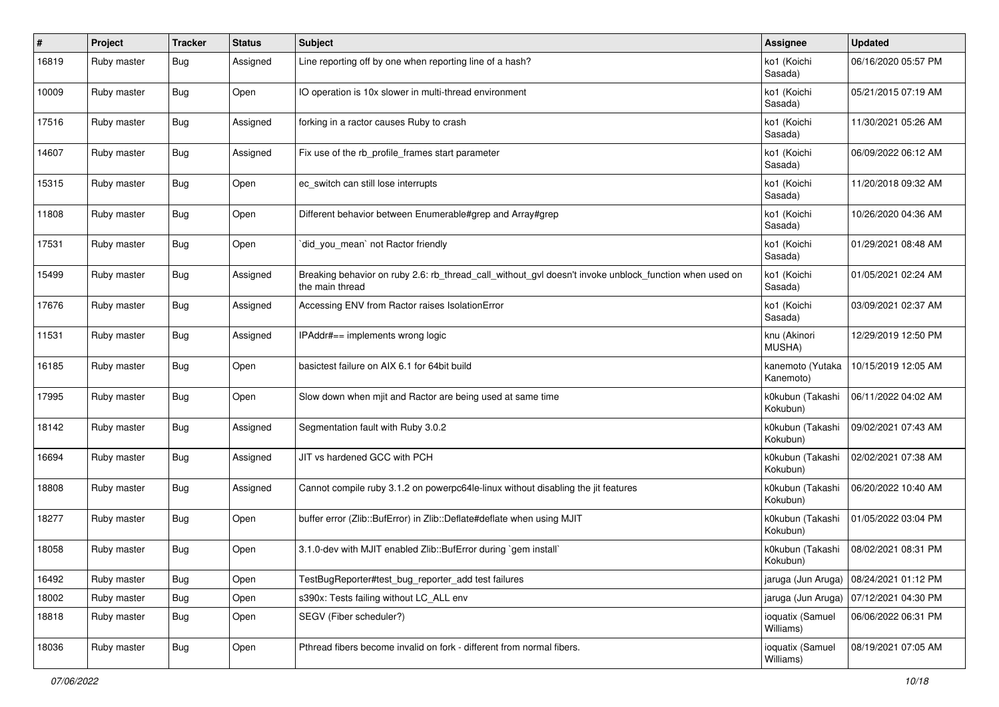| #     | Project     | <b>Tracker</b> | <b>Status</b> | Subject                                                                                                                   | Assignee                      | <b>Updated</b>      |
|-------|-------------|----------------|---------------|---------------------------------------------------------------------------------------------------------------------------|-------------------------------|---------------------|
| 16819 | Ruby master | <b>Bug</b>     | Assigned      | Line reporting off by one when reporting line of a hash?                                                                  | ko1 (Koichi<br>Sasada)        | 06/16/2020 05:57 PM |
| 10009 | Ruby master | Bug            | Open          | IO operation is 10x slower in multi-thread environment                                                                    | ko1 (Koichi<br>Sasada)        | 05/21/2015 07:19 AM |
| 17516 | Ruby master | Bug            | Assigned      | forking in a ractor causes Ruby to crash                                                                                  | ko1 (Koichi<br>Sasada)        | 11/30/2021 05:26 AM |
| 14607 | Ruby master | <b>Bug</b>     | Assigned      | Fix use of the rb_profile_frames start parameter                                                                          | ko1 (Koichi<br>Sasada)        | 06/09/2022 06:12 AM |
| 15315 | Ruby master | Bug            | Open          | ec_switch can still lose interrupts                                                                                       | ko1 (Koichi<br>Sasada)        | 11/20/2018 09:32 AM |
| 11808 | Ruby master | <b>Bug</b>     | Open          | Different behavior between Enumerable#grep and Array#grep                                                                 | ko1 (Koichi<br>Sasada)        | 10/26/2020 04:36 AM |
| 17531 | Ruby master | Bug            | Open          | did_you_mean` not Ractor friendly                                                                                         | ko1 (Koichi<br>Sasada)        | 01/29/2021 08:48 AM |
| 15499 | Ruby master | Bug            | Assigned      | Breaking behavior on ruby 2.6: rb_thread_call_without_gvl doesn't invoke unblock_function when used on<br>the main thread | ko1 (Koichi<br>Sasada)        | 01/05/2021 02:24 AM |
| 17676 | Ruby master | Bug            | Assigned      | Accessing ENV from Ractor raises IsolationError                                                                           | ko1 (Koichi<br>Sasada)        | 03/09/2021 02:37 AM |
| 11531 | Ruby master | Bug            | Assigned      | IPAddr#== implements wrong logic                                                                                          | knu (Akinori<br>MUSHA)        | 12/29/2019 12:50 PM |
| 16185 | Ruby master | <b>Bug</b>     | Open          | basictest failure on AIX 6.1 for 64bit build                                                                              | kanemoto (Yutaka<br>Kanemoto) | 10/15/2019 12:05 AM |
| 17995 | Ruby master | Bug            | Open          | Slow down when mjit and Ractor are being used at same time                                                                | k0kubun (Takashi<br>Kokubun)  | 06/11/2022 04:02 AM |
| 18142 | Ruby master | Bug            | Assigned      | Segmentation fault with Ruby 3.0.2                                                                                        | k0kubun (Takashi<br>Kokubun)  | 09/02/2021 07:43 AM |
| 16694 | Ruby master | Bug            | Assigned      | JIT vs hardened GCC with PCH                                                                                              | k0kubun (Takashi<br>Kokubun)  | 02/02/2021 07:38 AM |
| 18808 | Ruby master | Bug            | Assigned      | Cannot compile ruby 3.1.2 on powerpc64le-linux without disabling the jit features                                         | k0kubun (Takashi<br>Kokubun)  | 06/20/2022 10:40 AM |
| 18277 | Ruby master | Bug            | Open          | buffer error (Zlib::BufError) in Zlib::Deflate#deflate when using MJIT                                                    | k0kubun (Takashi<br>Kokubun)  | 01/05/2022 03:04 PM |
| 18058 | Ruby master | Bug            | Open          | 3.1.0-dev with MJIT enabled Zlib::BufError during `gem install`                                                           | k0kubun (Takashi<br>Kokubun)  | 08/02/2021 08:31 PM |
| 16492 | Ruby master | <b>Bug</b>     | Open          | TestBugReporter#test_bug_reporter_add test failures                                                                       | jaruga (Jun Aruga)            | 08/24/2021 01:12 PM |
| 18002 | Ruby master | <b>Bug</b>     | Open          | s390x: Tests failing without LC_ALL env                                                                                   | jaruga (Jun Aruga)            | 07/12/2021 04:30 PM |
| 18818 | Ruby master | <b>Bug</b>     | Open          | SEGV (Fiber scheduler?)                                                                                                   | ioquatix (Samuel<br>Williams) | 06/06/2022 06:31 PM |
| 18036 | Ruby master | Bug            | Open          | Pthread fibers become invalid on fork - different from normal fibers.                                                     | ioquatix (Samuel<br>Williams) | 08/19/2021 07:05 AM |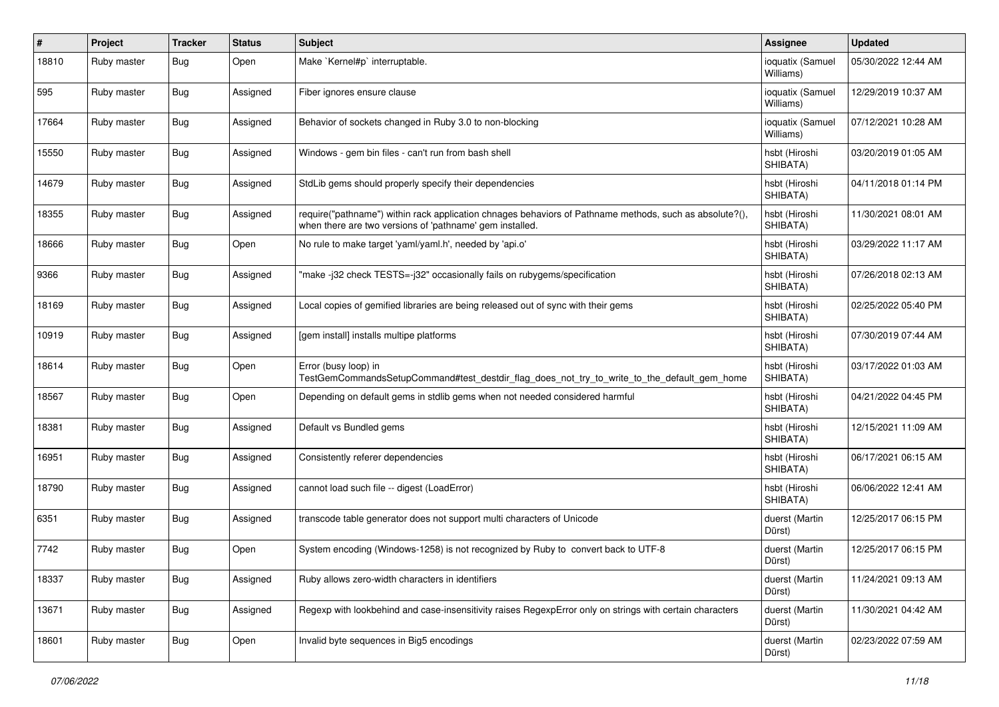| #     | Project     | <b>Tracker</b> | <b>Status</b> | <b>Subject</b>                                                                                                                                                      | <b>Assignee</b>               | <b>Updated</b>      |
|-------|-------------|----------------|---------------|---------------------------------------------------------------------------------------------------------------------------------------------------------------------|-------------------------------|---------------------|
| 18810 | Ruby master | <b>Bug</b>     | Open          | Make `Kernel#p` interruptable.                                                                                                                                      | ioquatix (Samuel<br>Williams) | 05/30/2022 12:44 AM |
| 595   | Ruby master | <b>Bug</b>     | Assigned      | Fiber ignores ensure clause                                                                                                                                         | ioquatix (Samuel<br>Williams) | 12/29/2019 10:37 AM |
| 17664 | Ruby master | <b>Bug</b>     | Assigned      | Behavior of sockets changed in Ruby 3.0 to non-blocking                                                                                                             | ioquatix (Samuel<br>Williams) | 07/12/2021 10:28 AM |
| 15550 | Ruby master | Bug            | Assigned      | Windows - gem bin files - can't run from bash shell                                                                                                                 | hsbt (Hiroshi<br>SHIBATA)     | 03/20/2019 01:05 AM |
| 14679 | Ruby master | Bug            | Assigned      | StdLib gems should properly specify their dependencies                                                                                                              | hsbt (Hiroshi<br>SHIBATA)     | 04/11/2018 01:14 PM |
| 18355 | Ruby master | Bug            | Assigned      | require("pathname") within rack application chnages behaviors of Pathname methods, such as absolute?(),<br>when there are two versions of 'pathname' gem installed. | hsbt (Hiroshi<br>SHIBATA)     | 11/30/2021 08:01 AM |
| 18666 | Ruby master | Bug            | Open          | No rule to make target 'yaml/yaml.h', needed by 'api.o'                                                                                                             | hsbt (Hiroshi<br>SHIBATA)     | 03/29/2022 11:17 AM |
| 9366  | Ruby master | Bug            | Assigned      | "make-j32 check TESTS=-j32" occasionally fails on rubygems/specification                                                                                            | hsbt (Hiroshi<br>SHIBATA)     | 07/26/2018 02:13 AM |
| 18169 | Ruby master | Bug            | Assigned      | Local copies of gemified libraries are being released out of sync with their gems                                                                                   | hsbt (Hiroshi<br>SHIBATA)     | 02/25/2022 05:40 PM |
| 10919 | Ruby master | Bug            | Assigned      | [gem install] installs multipe platforms                                                                                                                            | hsbt (Hiroshi<br>SHIBATA)     | 07/30/2019 07:44 AM |
| 18614 | Ruby master | Bug            | Open          | Error (busy loop) in<br>TestGemCommandsSetupCommand#test_destdir_flag_does_not_try_to_write_to_the_default_gem_home                                                 | hsbt (Hiroshi<br>SHIBATA)     | 03/17/2022 01:03 AM |
| 18567 | Ruby master | <b>Bug</b>     | Open          | Depending on default gems in stdlib gems when not needed considered harmful                                                                                         | hsbt (Hiroshi<br>SHIBATA)     | 04/21/2022 04:45 PM |
| 18381 | Ruby master | Bug            | Assigned      | Default vs Bundled gems                                                                                                                                             | hsbt (Hiroshi<br>SHIBATA)     | 12/15/2021 11:09 AM |
| 16951 | Ruby master | Bug            | Assigned      | Consistently referer dependencies                                                                                                                                   | hsbt (Hiroshi<br>SHIBATA)     | 06/17/2021 06:15 AM |
| 18790 | Ruby master | Bug            | Assigned      | cannot load such file -- digest (LoadError)                                                                                                                         | hsbt (Hiroshi<br>SHIBATA)     | 06/06/2022 12:41 AM |
| 6351  | Ruby master | Bug            | Assigned      | transcode table generator does not support multi characters of Unicode                                                                                              | duerst (Martin<br>Dürst)      | 12/25/2017 06:15 PM |
| 7742  | Ruby master | Bug            | Open          | System encoding (Windows-1258) is not recognized by Ruby to convert back to UTF-8                                                                                   | duerst (Martin<br>Dürst)      | 12/25/2017 06:15 PM |
| 18337 | Ruby master | <b>Bug</b>     | Assigned      | Ruby allows zero-width characters in identifiers                                                                                                                    | duerst (Martin<br>Dürst)      | 11/24/2021 09:13 AM |
| 13671 | Ruby master | Bug            | Assigned      | Regexp with lookbehind and case-insensitivity raises RegexpError only on strings with certain characters                                                            | duerst (Martin<br>Dürst)      | 11/30/2021 04:42 AM |
| 18601 | Ruby master | <b>Bug</b>     | Open          | Invalid byte sequences in Big5 encodings                                                                                                                            | duerst (Martin<br>Dürst)      | 02/23/2022 07:59 AM |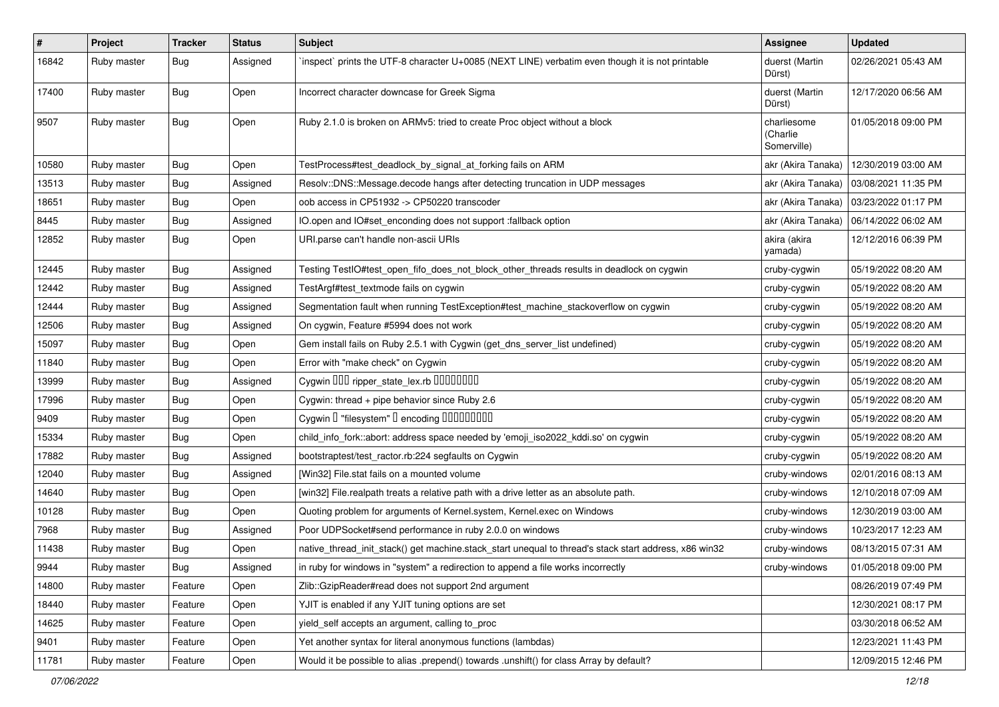| #     | Project     | <b>Tracker</b> | <b>Status</b> | <b>Subject</b>                                                                                        | Assignee                               | <b>Updated</b>      |
|-------|-------------|----------------|---------------|-------------------------------------------------------------------------------------------------------|----------------------------------------|---------------------|
| 16842 | Ruby master | Bug            | Assigned      | inspect` prints the UTF-8 character U+0085 (NEXT LINE) verbatim even though it is not printable       | duerst (Martin<br>Dürst)               | 02/26/2021 05:43 AM |
| 17400 | Ruby master | <b>Bug</b>     | Open          | Incorrect character downcase for Greek Sigma                                                          | duerst (Martin<br>Dürst)               | 12/17/2020 06:56 AM |
| 9507  | Ruby master | Bug            | Open          | Ruby 2.1.0 is broken on ARMv5: tried to create Proc object without a block                            | charliesome<br>(Charlie<br>Somerville) | 01/05/2018 09:00 PM |
| 10580 | Ruby master | Bug            | Open          | TestProcess#test_deadlock_by_signal_at_forking fails on ARM                                           | akr (Akira Tanaka)                     | 12/30/2019 03:00 AM |
| 13513 | Ruby master | <b>Bug</b>     | Assigned      | Resolv::DNS::Message.decode hangs after detecting truncation in UDP messages                          | akr (Akira Tanaka)                     | 03/08/2021 11:35 PM |
| 18651 | Ruby master | <b>Bug</b>     | Open          | oob access in CP51932 -> CP50220 transcoder                                                           | akr (Akira Tanaka)                     | 03/23/2022 01:17 PM |
| 8445  | Ruby master | <b>Bug</b>     | Assigned      | IO.open and IO#set_enconding does not support :fallback option                                        | akr (Akira Tanaka)                     | 06/14/2022 06:02 AM |
| 12852 | Ruby master | Bug            | Open          | URI parse can't handle non-ascii URIs                                                                 | akira (akira<br>yamada)                | 12/12/2016 06:39 PM |
| 12445 | Ruby master | <b>Bug</b>     | Assigned      | Testing TestlO#test_open_fifo_does_not_block_other_threads results in deadlock on cygwin              | cruby-cygwin                           | 05/19/2022 08:20 AM |
| 12442 | Ruby master | <b>Bug</b>     | Assigned      | TestArgf#test_textmode fails on cygwin                                                                | cruby-cygwin                           | 05/19/2022 08:20 AM |
| 12444 | Ruby master | <b>Bug</b>     | Assigned      | Segmentation fault when running TestException#test_machine_stackoverflow on cygwin                    | cruby-cygwin                           | 05/19/2022 08:20 AM |
| 12506 | Ruby master | <b>Bug</b>     | Assigned      | On cygwin, Feature #5994 does not work                                                                | cruby-cygwin                           | 05/19/2022 08:20 AM |
| 15097 | Ruby master | Bug            | Open          | Gem install fails on Ruby 2.5.1 with Cygwin (get_dns_server_list undefined)                           | cruby-cygwin                           | 05/19/2022 08:20 AM |
| 11840 | Ruby master | <b>Bug</b>     | Open          | Error with "make check" on Cygwin                                                                     | cruby-cygwin                           | 05/19/2022 08:20 AM |
| 13999 | Ruby master | Bug            | Assigned      | Cygwin 000 ripper_state_lex.rb 0000000                                                                | cruby-cygwin                           | 05/19/2022 08:20 AM |
| 17996 | Ruby master | <b>Bug</b>     | Open          | Cygwin: thread + pipe behavior since Ruby 2.6                                                         | cruby-cygwin                           | 05/19/2022 08:20 AM |
| 9409  | Ruby master | <b>Bug</b>     | Open          | Cygwin I "filesystem" I encoding IIIIIIIIIIIII                                                        | cruby-cygwin                           | 05/19/2022 08:20 AM |
| 15334 | Ruby master | <b>Bug</b>     | Open          | child_info_fork::abort: address space needed by 'emoji_iso2022_kddi.so' on cygwin                     | cruby-cygwin                           | 05/19/2022 08:20 AM |
| 17882 | Ruby master | <b>Bug</b>     | Assigned      | bootstraptest/test_ractor.rb:224 segfaults on Cygwin                                                  | cruby-cygwin                           | 05/19/2022 08:20 AM |
| 12040 | Ruby master | <b>Bug</b>     | Assigned      | [Win32] File.stat fails on a mounted volume                                                           | cruby-windows                          | 02/01/2016 08:13 AM |
| 14640 | Ruby master | <b>Bug</b>     | Open          | [win32] File.realpath treats a relative path with a drive letter as an absolute path.                 | cruby-windows                          | 12/10/2018 07:09 AM |
| 10128 | Ruby master | <b>Bug</b>     | Open          | Quoting problem for arguments of Kernel.system, Kernel.exec on Windows                                | cruby-windows                          | 12/30/2019 03:00 AM |
| 7968  | Ruby master | <b>Bug</b>     | Assigned      | Poor UDPSocket#send performance in ruby 2.0.0 on windows                                              | cruby-windows                          | 10/23/2017 12:23 AM |
| 11438 | Ruby master | Bug            | Open          | native_thread_init_stack() get machine.stack_start unequal to thread's stack start address, x86 win32 | cruby-windows                          | 08/13/2015 07:31 AM |
| 9944  | Ruby master | <b>Bug</b>     | Assigned      | in ruby for windows in "system" a redirection to append a file works incorrectly                      | cruby-windows                          | 01/05/2018 09:00 PM |
| 14800 | Ruby master | Feature        | Open          | Zlib::GzipReader#read does not support 2nd argument                                                   |                                        | 08/26/2019 07:49 PM |
| 18440 | Ruby master | Feature        | Open          | YJIT is enabled if any YJIT tuning options are set                                                    |                                        | 12/30/2021 08:17 PM |
| 14625 | Ruby master | Feature        | Open          | yield_self accepts an argument, calling to_proc                                                       |                                        | 03/30/2018 06:52 AM |
| 9401  | Ruby master | Feature        | Open          | Yet another syntax for literal anonymous functions (lambdas)                                          |                                        | 12/23/2021 11:43 PM |
| 11781 | Ruby master | Feature        | Open          | Would it be possible to alias .prepend() towards .unshift() for class Array by default?               |                                        | 12/09/2015 12:46 PM |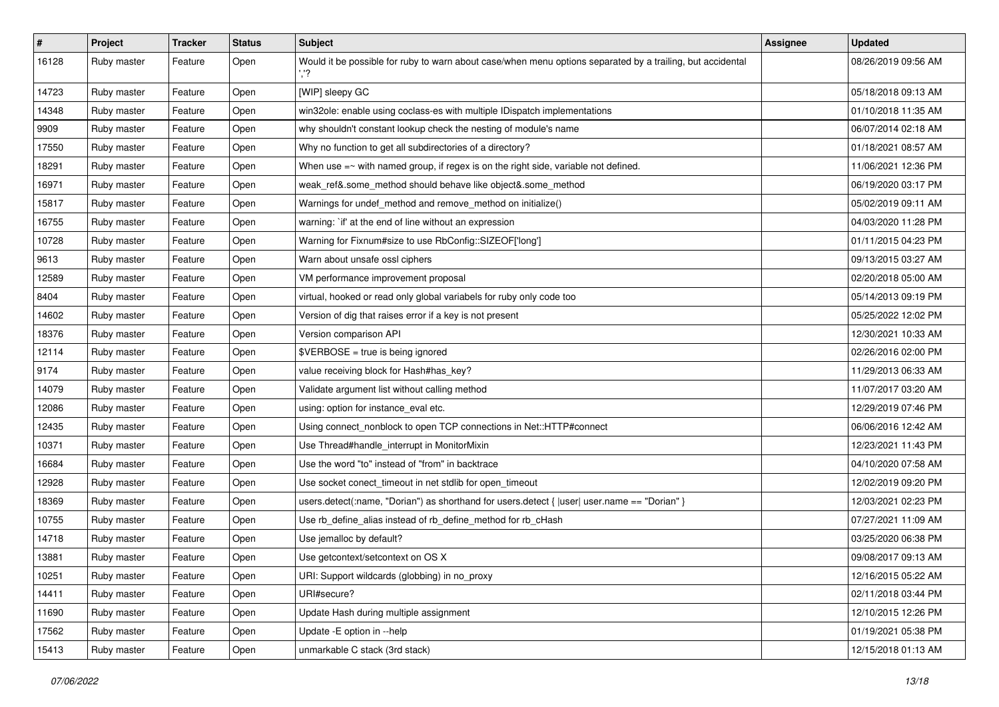| #     | Project     | <b>Tracker</b> | <b>Status</b> | Subject                                                                                                    | <b>Assignee</b> | <b>Updated</b>      |
|-------|-------------|----------------|---------------|------------------------------------------------------------------------------------------------------------|-----------------|---------------------|
| 16128 | Ruby master | Feature        | Open          | Would it be possible for ruby to warn about case/when menu options separated by a trailing, but accidental |                 | 08/26/2019 09:56 AM |
| 14723 | Ruby master | Feature        | Open          | [WIP] sleepy GC                                                                                            |                 | 05/18/2018 09:13 AM |
| 14348 | Ruby master | Feature        | Open          | win32ole: enable using coclass-es with multiple IDispatch implementations                                  |                 | 01/10/2018 11:35 AM |
| 9909  | Ruby master | Feature        | Open          | why shouldn't constant lookup check the nesting of module's name                                           |                 | 06/07/2014 02:18 AM |
| 17550 | Ruby master | Feature        | Open          | Why no function to get all subdirectories of a directory?                                                  |                 | 01/18/2021 08:57 AM |
| 18291 | Ruby master | Feature        | Open          | When use $=\sim$ with named group, if regex is on the right side, variable not defined.                    |                 | 11/06/2021 12:36 PM |
| 16971 | Ruby master | Feature        | Open          | weak_ref&.some_method should behave like object&.some_method                                               |                 | 06/19/2020 03:17 PM |
| 15817 | Ruby master | Feature        | Open          | Warnings for undef_method and remove_method on initialize()                                                |                 | 05/02/2019 09:11 AM |
| 16755 | Ruby master | Feature        | Open          | warning: `if' at the end of line without an expression                                                     |                 | 04/03/2020 11:28 PM |
| 10728 | Ruby master | Feature        | Open          | Warning for Fixnum#size to use RbConfig::SIZEOF['long']                                                    |                 | 01/11/2015 04:23 PM |
| 9613  | Ruby master | Feature        | Open          | Warn about unsafe ossl ciphers                                                                             |                 | 09/13/2015 03:27 AM |
| 12589 | Ruby master | Feature        | Open          | VM performance improvement proposal                                                                        |                 | 02/20/2018 05:00 AM |
| 8404  | Ruby master | Feature        | Open          | virtual, hooked or read only global variabels for ruby only code too                                       |                 | 05/14/2013 09:19 PM |
| 14602 | Ruby master | Feature        | Open          | Version of dig that raises error if a key is not present                                                   |                 | 05/25/2022 12:02 PM |
| 18376 | Ruby master | Feature        | Open          | Version comparison API                                                                                     |                 | 12/30/2021 10:33 AM |
| 12114 | Ruby master | Feature        | Open          | \$VERBOSE = true is being ignored                                                                          |                 | 02/26/2016 02:00 PM |
| 9174  | Ruby master | Feature        | Open          | value receiving block for Hash#has_key?                                                                    |                 | 11/29/2013 06:33 AM |
| 14079 | Ruby master | Feature        | Open          | Validate argument list without calling method                                                              |                 | 11/07/2017 03:20 AM |
| 12086 | Ruby master | Feature        | Open          | using: option for instance_eval etc.                                                                       |                 | 12/29/2019 07:46 PM |
| 12435 | Ruby master | Feature        | Open          | Using connect_nonblock to open TCP connections in Net::HTTP#connect                                        |                 | 06/06/2016 12:42 AM |
| 10371 | Ruby master | Feature        | Open          | Use Thread#handle_interrupt in MonitorMixin                                                                |                 | 12/23/2021 11:43 PM |
| 16684 | Ruby master | Feature        | Open          | Use the word "to" instead of "from" in backtrace                                                           |                 | 04/10/2020 07:58 AM |
| 12928 | Ruby master | Feature        | Open          | Use socket conect_timeout in net stdlib for open_timeout                                                   |                 | 12/02/2019 09:20 PM |
| 18369 | Ruby master | Feature        | Open          | users.detect(:name, "Dorian") as shorthand for users.detect {  user  user.name == "Dorian" }               |                 | 12/03/2021 02:23 PM |
| 10755 | Ruby master | Feature        | Open          | Use rb_define_alias instead of rb_define_method for rb_cHash                                               |                 | 07/27/2021 11:09 AM |
| 14718 | Ruby master | Feature        | Open          | Use jemalloc by default?                                                                                   |                 | 03/25/2020 06:38 PM |
| 13881 | Ruby master | Feature        | Open          | Use getcontext/setcontext on OS X                                                                          |                 | 09/08/2017 09:13 AM |
| 10251 | Ruby master | Feature        | Open          | URI: Support wildcards (globbing) in no_proxy                                                              |                 | 12/16/2015 05:22 AM |
| 14411 | Ruby master | Feature        | Open          | URI#secure?                                                                                                |                 | 02/11/2018 03:44 PM |
| 11690 | Ruby master | Feature        | Open          | Update Hash during multiple assignment                                                                     |                 | 12/10/2015 12:26 PM |
| 17562 | Ruby master | Feature        | Open          | Update -E option in --help                                                                                 |                 | 01/19/2021 05:38 PM |
| 15413 | Ruby master | Feature        | Open          | unmarkable C stack (3rd stack)                                                                             |                 | 12/15/2018 01:13 AM |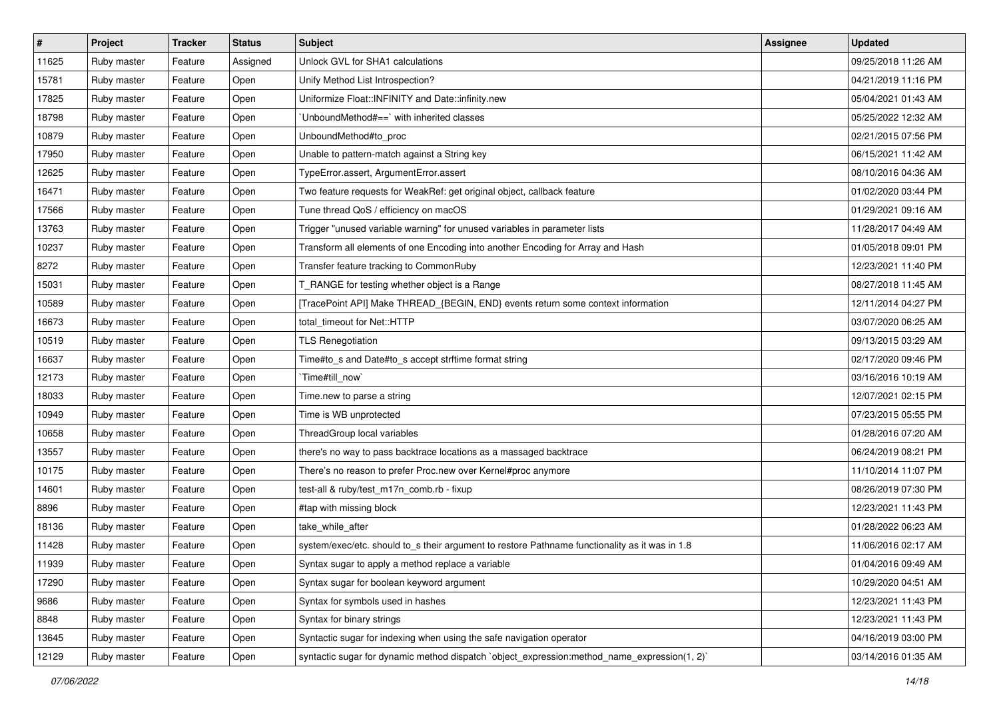| $\vert$ # | Project     | <b>Tracker</b> | <b>Status</b> | Subject                                                                                        | <b>Assignee</b> | <b>Updated</b>      |
|-----------|-------------|----------------|---------------|------------------------------------------------------------------------------------------------|-----------------|---------------------|
| 11625     | Ruby master | Feature        | Assigned      | Unlock GVL for SHA1 calculations                                                               |                 | 09/25/2018 11:26 AM |
| 15781     | Ruby master | Feature        | Open          | Unify Method List Introspection?                                                               |                 | 04/21/2019 11:16 PM |
| 17825     | Ruby master | Feature        | Open          | Uniformize Float::INFINITY and Date::infinity.new                                              |                 | 05/04/2021 01:43 AM |
| 18798     | Ruby master | Feature        | Open          | UnboundMethod#==` with inherited classes                                                       |                 | 05/25/2022 12:32 AM |
| 10879     | Ruby master | Feature        | Open          | UnboundMethod#to_proc                                                                          |                 | 02/21/2015 07:56 PM |
| 17950     | Ruby master | Feature        | Open          | Unable to pattern-match against a String key                                                   |                 | 06/15/2021 11:42 AM |
| 12625     | Ruby master | Feature        | Open          | TypeError.assert, ArgumentError.assert                                                         |                 | 08/10/2016 04:36 AM |
| 16471     | Ruby master | Feature        | Open          | Two feature requests for WeakRef: get original object, callback feature                        |                 | 01/02/2020 03:44 PM |
| 17566     | Ruby master | Feature        | Open          | Tune thread QoS / efficiency on macOS                                                          |                 | 01/29/2021 09:16 AM |
| 13763     | Ruby master | Feature        | Open          | Trigger "unused variable warning" for unused variables in parameter lists                      |                 | 11/28/2017 04:49 AM |
| 10237     | Ruby master | Feature        | Open          | Transform all elements of one Encoding into another Encoding for Array and Hash                |                 | 01/05/2018 09:01 PM |
| 8272      | Ruby master | Feature        | Open          | Transfer feature tracking to CommonRuby                                                        |                 | 12/23/2021 11:40 PM |
| 15031     | Ruby master | Feature        | Open          | T_RANGE for testing whether object is a Range                                                  |                 | 08/27/2018 11:45 AM |
| 10589     | Ruby master | Feature        | Open          | [TracePoint API] Make THREAD_{BEGIN, END} events return some context information               |                 | 12/11/2014 04:27 PM |
| 16673     | Ruby master | Feature        | Open          | total_timeout for Net::HTTP                                                                    |                 | 03/07/2020 06:25 AM |
| 10519     | Ruby master | Feature        | Open          | <b>TLS Renegotiation</b>                                                                       |                 | 09/13/2015 03:29 AM |
| 16637     | Ruby master | Feature        | Open          | Time#to_s and Date#to_s accept strftime format string                                          |                 | 02/17/2020 09:46 PM |
| 12173     | Ruby master | Feature        | Open          | Time#till_now`                                                                                 |                 | 03/16/2016 10:19 AM |
| 18033     | Ruby master | Feature        | Open          | Time.new to parse a string                                                                     |                 | 12/07/2021 02:15 PM |
| 10949     | Ruby master | Feature        | Open          | Time is WB unprotected                                                                         |                 | 07/23/2015 05:55 PM |
| 10658     | Ruby master | Feature        | Open          | ThreadGroup local variables                                                                    |                 | 01/28/2016 07:20 AM |
| 13557     | Ruby master | Feature        | Open          | there's no way to pass backtrace locations as a massaged backtrace                             |                 | 06/24/2019 08:21 PM |
| 10175     | Ruby master | Feature        | Open          | There's no reason to prefer Proc.new over Kernel#proc anymore                                  |                 | 11/10/2014 11:07 PM |
| 14601     | Ruby master | Feature        | Open          | test-all & ruby/test_m17n_comb.rb - fixup                                                      |                 | 08/26/2019 07:30 PM |
| 8896      | Ruby master | Feature        | Open          | #tap with missing block                                                                        |                 | 12/23/2021 11:43 PM |
| 18136     | Ruby master | Feature        | Open          | take_while_after                                                                               |                 | 01/28/2022 06:23 AM |
| 11428     | Ruby master | Feature        | Open          | system/exec/etc. should to_s their argument to restore Pathname functionality as it was in 1.8 |                 | 11/06/2016 02:17 AM |
| 11939     | Ruby master | Feature        | Open          | Syntax sugar to apply a method replace a variable                                              |                 | 01/04/2016 09:49 AM |
| 17290     | Ruby master | Feature        | Open          | Syntax sugar for boolean keyword argument                                                      |                 | 10/29/2020 04:51 AM |
| 9686      | Ruby master | Feature        | Open          | Syntax for symbols used in hashes                                                              |                 | 12/23/2021 11:43 PM |
| 8848      | Ruby master | Feature        | Open          | Syntax for binary strings                                                                      |                 | 12/23/2021 11:43 PM |
| 13645     | Ruby master | Feature        | Open          | Syntactic sugar for indexing when using the safe navigation operator                           |                 | 04/16/2019 03:00 PM |
| 12129     | Ruby master | Feature        | Open          | syntactic sugar for dynamic method dispatch `object_expression:method_name_expression(1, 2)`   |                 | 03/14/2016 01:35 AM |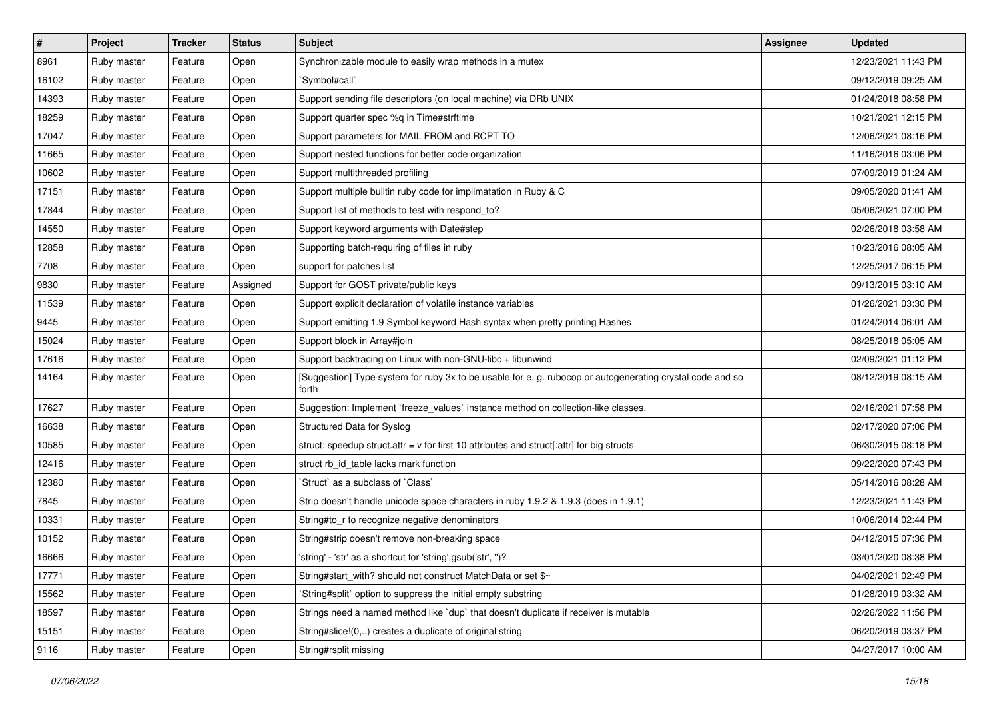| $\vert$ # | Project     | <b>Tracker</b> | <b>Status</b> | Subject                                                                                                            | <b>Assignee</b> | <b>Updated</b>      |
|-----------|-------------|----------------|---------------|--------------------------------------------------------------------------------------------------------------------|-----------------|---------------------|
| 8961      | Ruby master | Feature        | Open          | Synchronizable module to easily wrap methods in a mutex                                                            |                 | 12/23/2021 11:43 PM |
| 16102     | Ruby master | Feature        | Open          | 'Symbol#call'                                                                                                      |                 | 09/12/2019 09:25 AM |
| 14393     | Ruby master | Feature        | Open          | Support sending file descriptors (on local machine) via DRb UNIX                                                   |                 | 01/24/2018 08:58 PM |
| 18259     | Ruby master | Feature        | Open          | Support quarter spec %q in Time#strftime                                                                           |                 | 10/21/2021 12:15 PM |
| 17047     | Ruby master | Feature        | Open          | Support parameters for MAIL FROM and RCPT TO                                                                       |                 | 12/06/2021 08:16 PM |
| 11665     | Ruby master | Feature        | Open          | Support nested functions for better code organization                                                              |                 | 11/16/2016 03:06 PM |
| 10602     | Ruby master | Feature        | Open          | Support multithreaded profiling                                                                                    |                 | 07/09/2019 01:24 AM |
| 17151     | Ruby master | Feature        | Open          | Support multiple builtin ruby code for implimatation in Ruby & C                                                   |                 | 09/05/2020 01:41 AM |
| 17844     | Ruby master | Feature        | Open          | Support list of methods to test with respond_to?                                                                   |                 | 05/06/2021 07:00 PM |
| 14550     | Ruby master | Feature        | Open          | Support keyword arguments with Date#step                                                                           |                 | 02/26/2018 03:58 AM |
| 12858     | Ruby master | Feature        | Open          | Supporting batch-requiring of files in ruby                                                                        |                 | 10/23/2016 08:05 AM |
| 7708      | Ruby master | Feature        | Open          | support for patches list                                                                                           |                 | 12/25/2017 06:15 PM |
| 9830      | Ruby master | Feature        | Assigned      | Support for GOST private/public keys                                                                               |                 | 09/13/2015 03:10 AM |
| 11539     | Ruby master | Feature        | Open          | Support explicit declaration of volatile instance variables                                                        |                 | 01/26/2021 03:30 PM |
| 9445      | Ruby master | Feature        | Open          | Support emitting 1.9 Symbol keyword Hash syntax when pretty printing Hashes                                        |                 | 01/24/2014 06:01 AM |
| 15024     | Ruby master | Feature        | Open          | Support block in Array#join                                                                                        |                 | 08/25/2018 05:05 AM |
| 17616     | Ruby master | Feature        | Open          | Support backtracing on Linux with non-GNU-libc + libunwind                                                         |                 | 02/09/2021 01:12 PM |
| 14164     | Ruby master | Feature        | Open          | [Suggestion] Type system for ruby 3x to be usable for e. g. rubocop or autogenerating crystal code and so<br>forth |                 | 08/12/2019 08:15 AM |
| 17627     | Ruby master | Feature        | Open          | Suggestion: Implement `freeze_values` instance method on collection-like classes.                                  |                 | 02/16/2021 07:58 PM |
| 16638     | Ruby master | Feature        | Open          | Structured Data for Syslog                                                                                         |                 | 02/17/2020 07:06 PM |
| 10585     | Ruby master | Feature        | Open          | struct: speedup struct.attr = $v$ for first 10 attributes and struct[:attr] for big structs                        |                 | 06/30/2015 08:18 PM |
| 12416     | Ruby master | Feature        | Open          | struct rb_id_table lacks mark function                                                                             |                 | 09/22/2020 07:43 PM |
| 12380     | Ruby master | Feature        | Open          | Struct` as a subclass of `Class`                                                                                   |                 | 05/14/2016 08:28 AM |
| 7845      | Ruby master | Feature        | Open          | Strip doesn't handle unicode space characters in ruby 1.9.2 & 1.9.3 (does in 1.9.1)                                |                 | 12/23/2021 11:43 PM |
| 10331     | Ruby master | Feature        | Open          | String#to_r to recognize negative denominators                                                                     |                 | 10/06/2014 02:44 PM |
| 10152     | Ruby master | Feature        | Open          | String#strip doesn't remove non-breaking space                                                                     |                 | 04/12/2015 07:36 PM |
| 16666     | Ruby master | Feature        | Open          | 'string' - 'str' as a shortcut for 'string'.gsub('str', ")?                                                        |                 | 03/01/2020 08:38 PM |
| 17771     | Ruby master | Feature        | Open          | String#start with? should not construct MatchData or set \$~                                                       |                 | 04/02/2021 02:49 PM |
| 15562     | Ruby master | Feature        | Open          | String#split` option to suppress the initial empty substring                                                       |                 | 01/28/2019 03:32 AM |
| 18597     | Ruby master | Feature        | Open          | Strings need a named method like 'dup' that doesn't duplicate if receiver is mutable                               |                 | 02/26/2022 11:56 PM |
| 15151     | Ruby master | Feature        | Open          | String#slice!(0,) creates a duplicate of original string                                                           |                 | 06/20/2019 03:37 PM |
| 9116      | Ruby master | Feature        | Open          | String#rsplit missing                                                                                              |                 | 04/27/2017 10:00 AM |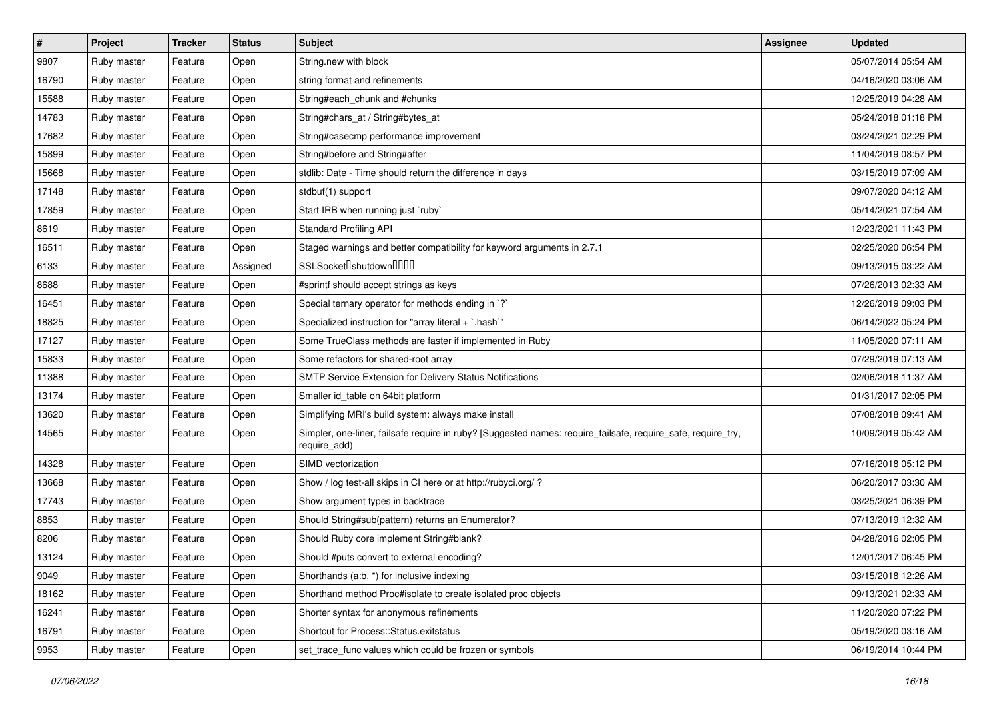| $\vert$ # | Project     | <b>Tracker</b> | <b>Status</b> | Subject                                                                                                                      | <b>Assignee</b> | <b>Updated</b>      |
|-----------|-------------|----------------|---------------|------------------------------------------------------------------------------------------------------------------------------|-----------------|---------------------|
| 9807      | Ruby master | Feature        | Open          | String.new with block                                                                                                        |                 | 05/07/2014 05:54 AM |
| 16790     | Ruby master | Feature        | Open          | string format and refinements                                                                                                |                 | 04/16/2020 03:06 AM |
| 15588     | Ruby master | Feature        | Open          | String#each_chunk and #chunks                                                                                                |                 | 12/25/2019 04:28 AM |
| 14783     | Ruby master | Feature        | Open          | String#chars_at / String#bytes_at                                                                                            |                 | 05/24/2018 01:18 PM |
| 17682     | Ruby master | Feature        | Open          | String#casecmp performance improvement                                                                                       |                 | 03/24/2021 02:29 PM |
| 15899     | Ruby master | Feature        | Open          | String#before and String#after                                                                                               |                 | 11/04/2019 08:57 PM |
| 15668     | Ruby master | Feature        | Open          | stdlib: Date - Time should return the difference in days                                                                     |                 | 03/15/2019 07:09 AM |
| 17148     | Ruby master | Feature        | Open          | stdbuf(1) support                                                                                                            |                 | 09/07/2020 04:12 AM |
| 17859     | Ruby master | Feature        | Open          | Start IRB when running just `ruby`                                                                                           |                 | 05/14/2021 07:54 AM |
| 8619      | Ruby master | Feature        | Open          | <b>Standard Profiling API</b>                                                                                                |                 | 12/23/2021 11:43 PM |
| 16511     | Ruby master | Feature        | Open          | Staged warnings and better compatibility for keyword arguments in 2.7.1                                                      |                 | 02/25/2020 06:54 PM |
| 6133      | Ruby master | Feature        | Assigned      | SSLSocket <sup>[]</sup> shutdown <sup>[][][]</sup>                                                                           |                 | 09/13/2015 03:22 AM |
| 8688      | Ruby master | Feature        | Open          | #sprintf should accept strings as keys                                                                                       |                 | 07/26/2013 02:33 AM |
| 16451     | Ruby master | Feature        | Open          | Special ternary operator for methods ending in `?`                                                                           |                 | 12/26/2019 09:03 PM |
| 18825     | Ruby master | Feature        | Open          | Specialized instruction for "array literal + `.hash`"                                                                        |                 | 06/14/2022 05:24 PM |
| 17127     | Ruby master | Feature        | Open          | Some TrueClass methods are faster if implemented in Ruby                                                                     |                 | 11/05/2020 07:11 AM |
| 15833     | Ruby master | Feature        | Open          | Some refactors for shared-root array                                                                                         |                 | 07/29/2019 07:13 AM |
| 11388     | Ruby master | Feature        | Open          | SMTP Service Extension for Delivery Status Notifications                                                                     |                 | 02/06/2018 11:37 AM |
| 13174     | Ruby master | Feature        | Open          | Smaller id_table on 64bit platform                                                                                           |                 | 01/31/2017 02:05 PM |
| 13620     | Ruby master | Feature        | Open          | Simplifying MRI's build system: always make install                                                                          |                 | 07/08/2018 09:41 AM |
| 14565     | Ruby master | Feature        | Open          | Simpler, one-liner, failsafe require in ruby? [Suggested names: require_failsafe, require_safe, require_try,<br>require_add) |                 | 10/09/2019 05:42 AM |
| 14328     | Ruby master | Feature        | Open          | SIMD vectorization                                                                                                           |                 | 07/16/2018 05:12 PM |
| 13668     | Ruby master | Feature        | Open          | Show / log test-all skips in CI here or at http://rubyci.org/?                                                               |                 | 06/20/2017 03:30 AM |
| 17743     | Ruby master | Feature        | Open          | Show argument types in backtrace                                                                                             |                 | 03/25/2021 06:39 PM |
| 8853      | Ruby master | Feature        | Open          | Should String#sub(pattern) returns an Enumerator?                                                                            |                 | 07/13/2019 12:32 AM |
| 8206      | Ruby master | Feature        | Open          | Should Ruby core implement String#blank?                                                                                     |                 | 04/28/2016 02:05 PM |
| 13124     | Ruby master | Feature        | Open          | Should #puts convert to external encoding?                                                                                   |                 | 12/01/2017 06:45 PM |
| 9049      | Ruby master | Feature        | Open          | Shorthands (a:b, *) for inclusive indexing                                                                                   |                 | 03/15/2018 12:26 AM |
| 18162     | Ruby master | Feature        | Open          | Shorthand method Proc#isolate to create isolated proc objects                                                                |                 | 09/13/2021 02:33 AM |
| 16241     | Ruby master | Feature        | Open          | Shorter syntax for anonymous refinements                                                                                     |                 | 11/20/2020 07:22 PM |
| 16791     | Ruby master | Feature        | Open          | Shortcut for Process::Status.exitstatus                                                                                      |                 | 05/19/2020 03:16 AM |
| 9953      | Ruby master | Feature        | Open          | set_trace_func values which could be frozen or symbols                                                                       |                 | 06/19/2014 10:44 PM |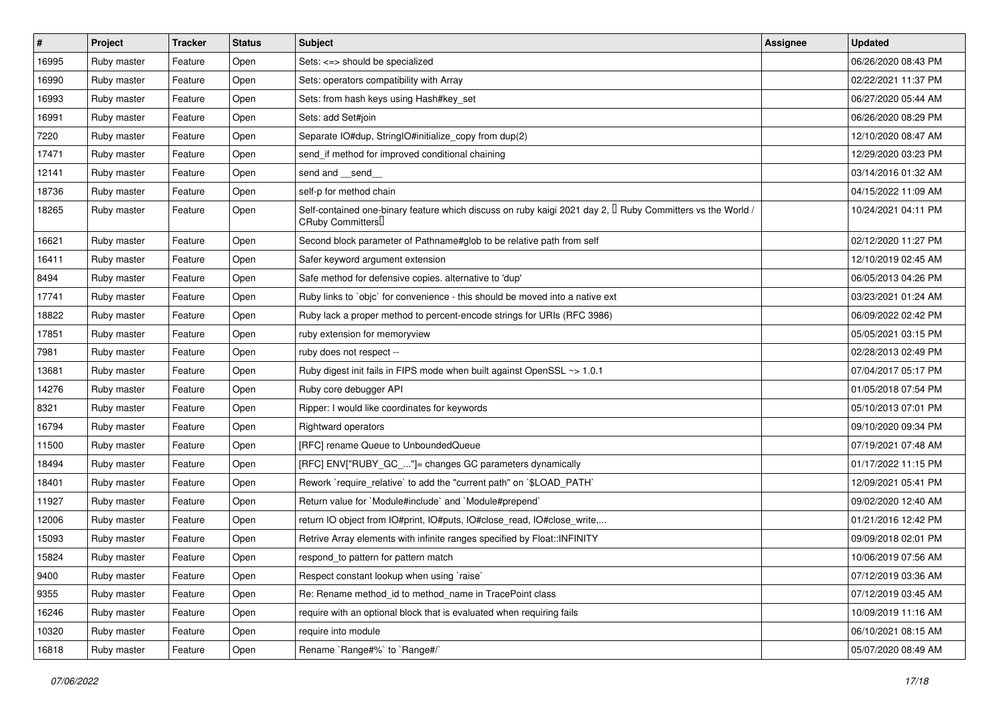| #     | Project     | <b>Tracker</b> | <b>Status</b> | Subject                                                                                                                                      | <b>Assignee</b> | <b>Updated</b>      |
|-------|-------------|----------------|---------------|----------------------------------------------------------------------------------------------------------------------------------------------|-----------------|---------------------|
| 16995 | Ruby master | Feature        | Open          | Sets: <=> should be specialized                                                                                                              |                 | 06/26/2020 08:43 PM |
| 16990 | Ruby master | Feature        | Open          | Sets: operators compatibility with Array                                                                                                     |                 | 02/22/2021 11:37 PM |
| 16993 | Ruby master | Feature        | Open          | Sets: from hash keys using Hash#key_set                                                                                                      |                 | 06/27/2020 05:44 AM |
| 16991 | Ruby master | Feature        | Open          | Sets: add Set#join                                                                                                                           |                 | 06/26/2020 08:29 PM |
| 7220  | Ruby master | Feature        | Open          | Separate IO#dup, StringIO#initialize_copy from dup(2)                                                                                        |                 | 12/10/2020 08:47 AM |
| 17471 | Ruby master | Feature        | Open          | send_if method for improved conditional chaining                                                                                             |                 | 12/29/2020 03:23 PM |
| 12141 | Ruby master | Feature        | Open          | send and __send_                                                                                                                             |                 | 03/14/2016 01:32 AM |
| 18736 | Ruby master | Feature        | Open          | self-p for method chain                                                                                                                      |                 | 04/15/2022 11:09 AM |
| 18265 | Ruby master | Feature        | Open          | Self-contained one-binary feature which discuss on ruby kaigi 2021 day 2, I Ruby Committers vs the World /<br>CRuby Committers <sup>[]</sup> |                 | 10/24/2021 04:11 PM |
| 16621 | Ruby master | Feature        | Open          | Second block parameter of Pathname#glob to be relative path from self                                                                        |                 | 02/12/2020 11:27 PM |
| 16411 | Ruby master | Feature        | Open          | Safer keyword argument extension                                                                                                             |                 | 12/10/2019 02:45 AM |
| 8494  | Ruby master | Feature        | Open          | Safe method for defensive copies. alternative to 'dup'                                                                                       |                 | 06/05/2013 04:26 PM |
| 17741 | Ruby master | Feature        | Open          | Ruby links to `objc` for convenience - this should be moved into a native ext                                                                |                 | 03/23/2021 01:24 AM |
| 18822 | Ruby master | Feature        | Open          | Ruby lack a proper method to percent-encode strings for URIs (RFC 3986)                                                                      |                 | 06/09/2022 02:42 PM |
| 17851 | Ruby master | Feature        | Open          | ruby extension for memoryview                                                                                                                |                 | 05/05/2021 03:15 PM |
| 7981  | Ruby master | Feature        | Open          | ruby does not respect --                                                                                                                     |                 | 02/28/2013 02:49 PM |
| 13681 | Ruby master | Feature        | Open          | Ruby digest init fails in FIPS mode when built against OpenSSL ~> 1.0.1                                                                      |                 | 07/04/2017 05:17 PM |
| 14276 | Ruby master | Feature        | Open          | Ruby core debugger API                                                                                                                       |                 | 01/05/2018 07:54 PM |
| 8321  | Ruby master | Feature        | Open          | Ripper: I would like coordinates for keywords                                                                                                |                 | 05/10/2013 07:01 PM |
| 16794 | Ruby master | Feature        | Open          | <b>Rightward operators</b>                                                                                                                   |                 | 09/10/2020 09:34 PM |
| 11500 | Ruby master | Feature        | Open          | [RFC] rename Queue to UnboundedQueue                                                                                                         |                 | 07/19/2021 07:48 AM |
| 18494 | Ruby master | Feature        | Open          | [RFC] ENV["RUBY_GC_"]= changes GC parameters dynamically                                                                                     |                 | 01/17/2022 11:15 PM |
| 18401 | Ruby master | Feature        | Open          | Rework `require_relative` to add the "current path" on `\$LOAD_PATH`                                                                         |                 | 12/09/2021 05:41 PM |
| 11927 | Ruby master | Feature        | Open          | Return value for `Module#include` and `Module#prepend`                                                                                       |                 | 09/02/2020 12:40 AM |
| 12006 | Ruby master | Feature        | Open          | return IO object from IO#print, IO#puts, IO#close_read, IO#close_write,                                                                      |                 | 01/21/2016 12:42 PM |
| 15093 | Ruby master | Feature        | Open          | Retrive Array elements with infinite ranges specified by Float::INFINITY                                                                     |                 | 09/09/2018 02:01 PM |
| 15824 | Ruby master | Feature        | Open          | respond_to pattern for pattern match                                                                                                         |                 | 10/06/2019 07:56 AM |
| 9400  | Ruby master | Feature        | Open          | Respect constant lookup when using 'raise'                                                                                                   |                 | 07/12/2019 03:36 AM |
| 9355  | Ruby master | Feature        | Open          | Re: Rename method_id to method_name in TracePoint class                                                                                      |                 | 07/12/2019 03:45 AM |
| 16246 | Ruby master | Feature        | Open          | require with an optional block that is evaluated when requiring fails                                                                        |                 | 10/09/2019 11:16 AM |
| 10320 | Ruby master | Feature        | Open          | require into module                                                                                                                          |                 | 06/10/2021 08:15 AM |
| 16818 | Ruby master | Feature        | Open          | Rename `Range#%` to `Range#/`                                                                                                                |                 | 05/07/2020 08:49 AM |